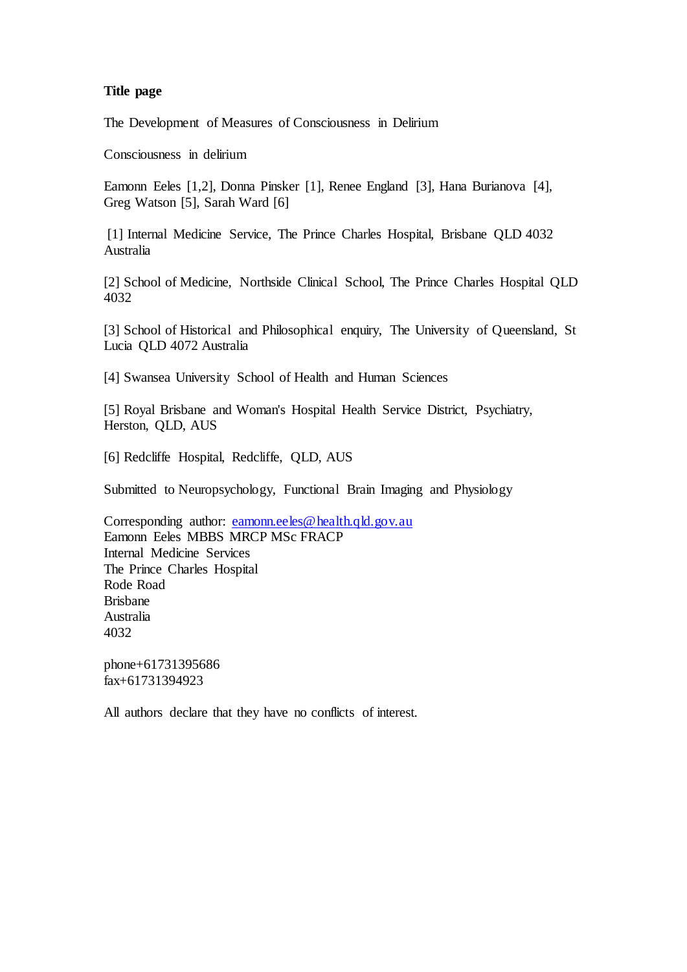## **Title page**

The Development of Measures of Consciousness in Delirium

Consciousness in delirium

Eamonn Eeles [1,2], Donna Pinsker [1], Renee England [3], Hana Burianova [4], Greg Watson [5], Sarah Ward [6]

[1] Internal Medicine Service, The Prince Charles Hospital, Brisbane QLD 4032 Australia

[2] School of Medicine, Northside Clinical School, The Prince Charles Hospital QLD 4032

[3] School of Historical and Philosophical enquiry, The University of Queensland, St Lucia QLD 4072 Australia

[4] Swansea University School of Health and Human Sciences

[5] Royal Brisbane and Woman's Hospital Health Service District, Psychiatry, Herston, QLD, AUS

[6] Redcliffe Hospital, Redcliffe, QLD, AUS

Submitted to Neuropsychology, Functional Brain Imaging and Physiology

Corresponding author: [eamonn.eeles@health.qld.gov.au](mailto:eamonn.eeles@health.qld.gov.au) Eamonn Eeles MBBS MRCP MSc FRACP Internal Medicine Services The Prince Charles Hospital Rode Road Brisbane Australia 4032

phone+61731395686 fax+61731394923

All authors declare that they have no conflicts of interest.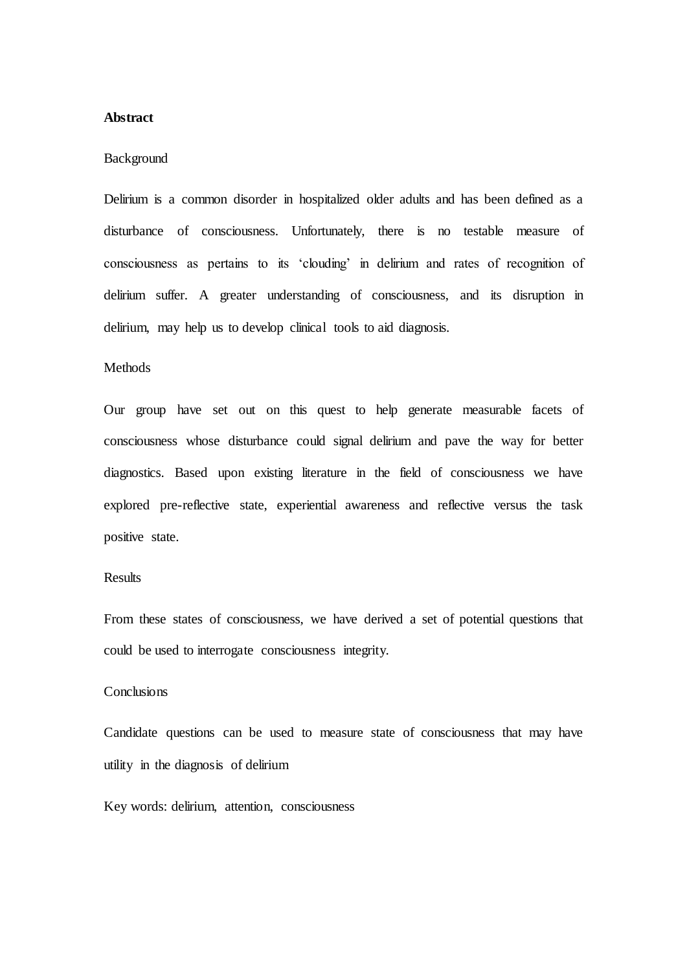## **Abstract**

### Background

Delirium is a common disorder in hospitalized older adults and has been defined as a disturbance of consciousness. Unfortunately, there is no testable measure of consciousness as pertains to its 'clouding' in delirium and rates of recognition of delirium suffer. A greater understanding of consciousness, and its disruption in delirium, may help us to develop clinical tools to aid diagnosis.

## **Methods**

Our group have set out on this quest to help generate measurable facets of consciousness whose disturbance could signal delirium and pave the way for better diagnostics. Based upon existing literature in the field of consciousness we have explored pre-reflective state, experiential awareness and reflective versus the task positive state.

# **Results**

From these states of consciousness, we have derived a set of potential questions that could be used to interrogate consciousness integrity.

## **Conclusions**

Candidate questions can be used to measure state of consciousness that may have utility in the diagnosis of delirium

Key words: delirium, attention, consciousness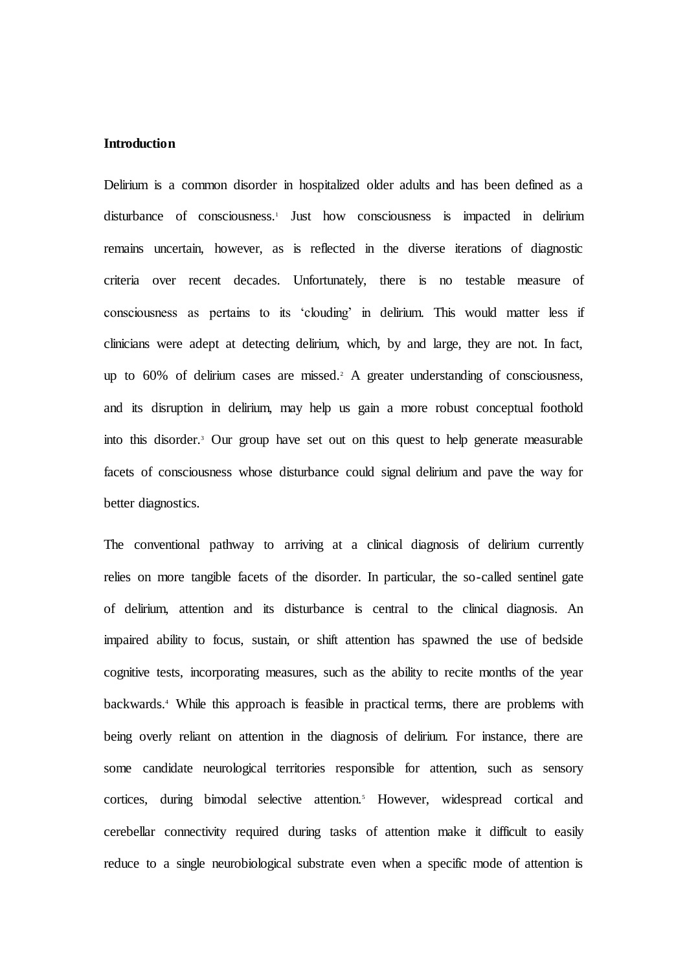### **Introduction**

Delirium is a common disorder in hospitalized older adults and has been defined as a disturbance of consciousness.<sup>1</sup> Just how consciousness is impacted in delirium remains uncertain, however, as is reflected in the diverse iterations of diagnostic criteria over recent decades. Unfortunately, there is no testable measure of consciousness as pertains to its 'clouding' in delirium. This would matter less if clinicians were adept at detecting delirium, which, by and large, they are not. In fact, up to 60% of delirium cases are missed.<sup>2</sup> A greater understanding of consciousness, and its disruption in delirium, may help us gain a more robust conceptual foothold into this disorder.<sup>3</sup> Our group have set out on this quest to help generate measurable facets of consciousness whose disturbance could signal delirium and pave the way for better diagnostics.

The conventional pathway to arriving at a clinical diagnosis of delirium currently relies on more tangible facets of the disorder. In particular, the so-called sentinel gate of delirium, attention and its disturbance is central to the clinical diagnosis. An impaired ability to focus, sustain, or shift attention has spawned the use of bedside cognitive tests, incorporating measures, such as the ability to recite months of the year backwards.<sup>4</sup> While this approach is feasible in practical terms, there are problems with being overly reliant on attention in the diagnosis of delirium. For instance, there are some candidate neurological territories responsible for attention, such as sensory cortices, during bimodal selective attention.<sup>5</sup> However, widespread cortical and cerebellar connectivity required during tasks of attention make it difficult to easily reduce to a single neurobiological substrate even when a specific mode of attention is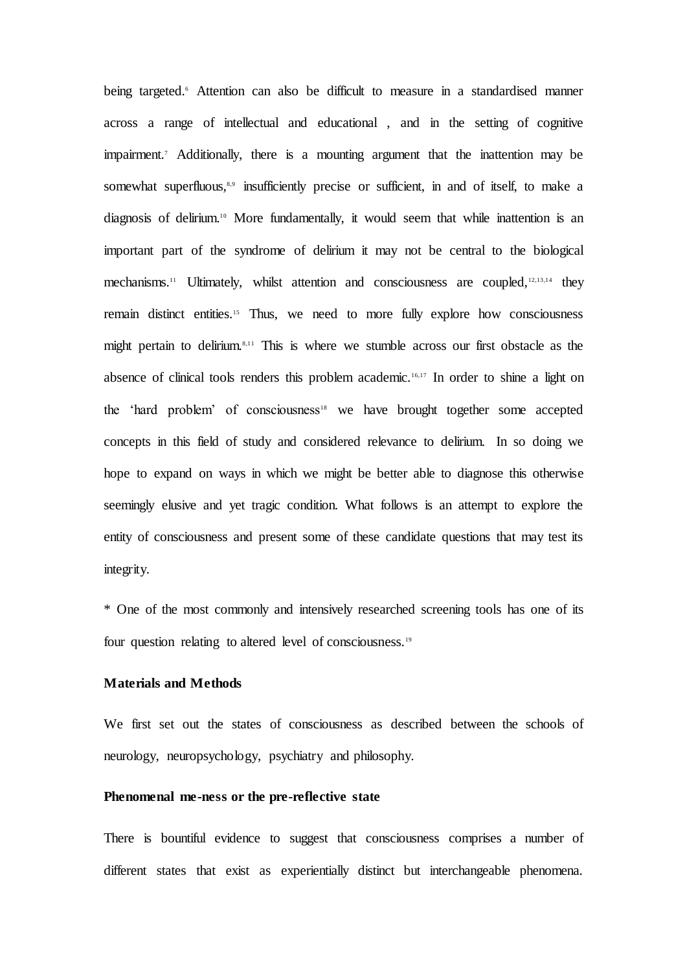being targeted.<sup>6</sup> Attention can also be difficult to measure in a standardised manner across a range of intellectual and educational , and in the setting of cognitive impairment.<sup>7</sup> Additionally, there is a mounting argument that the inattention may be somewhat superfluous,<sup>8,9</sup> insufficiently precise or sufficient, in and of itself, to make a diagnosis of delirium. <sup>10</sup> More fundamentally, it would seem that while inattention is an important part of the syndrome of delirium it may not be central to the biological mechanisms.<sup>11</sup> Ultimately, whilst attention and consciousness are coupled,12,13,14 they remain distinct entities.<sup>15</sup> Thus, we need to more fully explore how consciousness might pertain to delirium.8,11 This is where we stumble across our first obstacle as the absence of clinical tools renders this problem academic.<sup>16,17</sup> In order to shine a light on the 'hard problem' of consciousness<sup>18</sup> we have brought together some accepted concepts in this field of study and considered relevance to delirium. In so doing we hope to expand on ways in which we might be better able to diagnose this otherwise seemingly elusive and yet tragic condition. What follows is an attempt to explore the entity of consciousness and present some of these candidate questions that may test its integrity.

\* One of the most commonly and intensively researched screening tools has one of its four question relating to altered level of consciousness.<sup>19</sup>

### **Materials and Methods**

We first set out the states of consciousness as described between the schools of neurology, neuropsychology, psychiatry and philosophy.

### **Phenomenal me-ness or the pre-reflective state**

There is bountiful evidence to suggest that consciousness comprises a number of different states that exist as experientially distinct but interchangeable phenomena.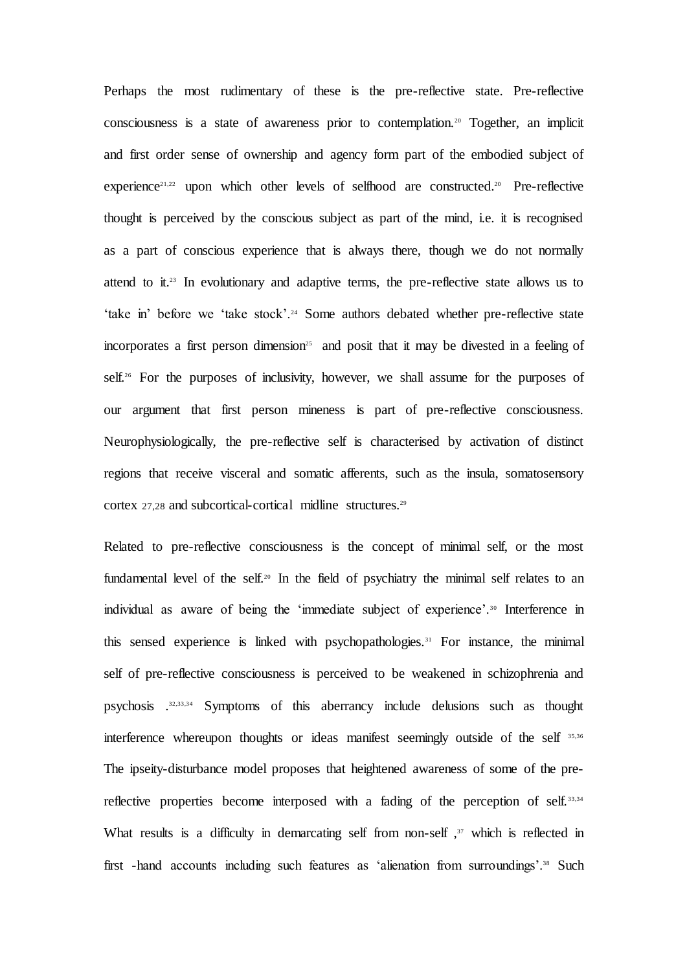Perhaps the most rudimentary of these is the pre-reflective state. Pre-reflective consciousness is a state of awareness prior to contemplation.<sup>20</sup> Together, an implicit and first order sense of ownership and agency form part of the embodied subject of experience<sup>21,22</sup> upon which other levels of selfhood are constructed.<sup>20</sup> Pre-reflective thought is perceived by the conscious subject as part of the mind, i.e. it is recognised as a part of conscious experience that is always there, though we do not normally attend to it.<sup>23</sup> In evolutionary and adaptive terms, the pre-reflective state allows us to 'take in' before we 'take stock'.<sup>24</sup> Some authors debated whether pre-reflective state incorporates a first person dimension<sup>25</sup> and posit that it may be divested in a feeling of self.<sup>26</sup> For the purposes of inclusivity, however, we shall assume for the purposes of our argument that first person mineness is part of pre-reflective consciousness. Neurophysiologically, the pre-reflective self is characterised by activation of distinct regions that receive visceral and somatic afferents, such as the insula, somatosensory cortex 27,28 and subcortical-cortical midline structures.<sup>29</sup>

Related to pre-reflective consciousness is the concept of minimal self, or the most fundamental level of the self.<sup>20</sup> In the field of psychiatry the minimal self relates to an individual as aware of being the 'immediate subject of experience'.<sup>30</sup> Interference in this sensed experience is linked with psychopathologies.<sup>31</sup> For instance, the minimal self of pre-reflective consciousness is perceived to be weakened in schizophrenia and psychosis .32,33,34 Symptoms of this aberrancy include delusions such as thought interference whereupon thoughts or ideas manifest seemingly outside of the self 35,36 The ipseity-disturbance model proposes that heightened awareness of some of the prereflective properties become interposed with a fading of the perception of self. 33,34 What results is a difficulty in demarcating self from non-self,  $37$  which is reflected in first -hand accounts including such features as 'alienation from surroundings'.<sup>38</sup> Such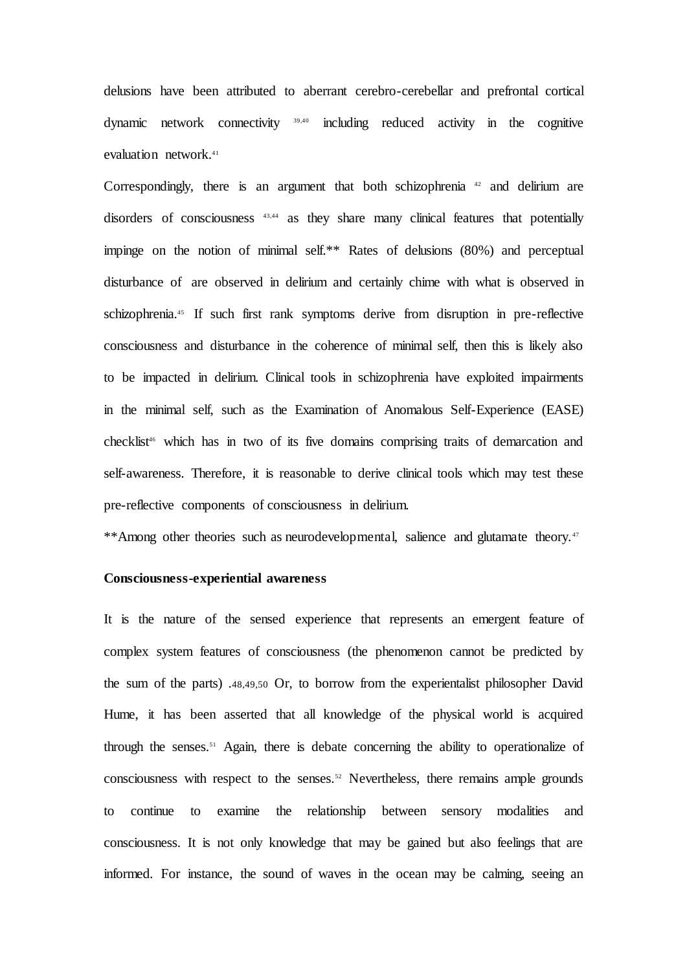delusions have been attributed to aberrant cerebro-cerebellar and prefrontal cortical dynamic network connectivity 39,40 including reduced activity in the cognitive evaluation network.<sup>41</sup>

Correspondingly, there is an argument that both schizophrenia <sup>42</sup> and delirium are disorders of consciousness 43,44 as they share many clinical features that potentially impinge on the notion of minimal self.\*\* Rates of delusions (80%) and perceptual disturbance of are observed in delirium and certainly chime with what is observed in schizophrenia.<sup>45</sup> If such first rank symptoms derive from disruption in pre-reflective consciousness and disturbance in the coherence of minimal self, then this is likely also to be impacted in delirium. Clinical tools in schizophrenia have exploited impairments in the minimal self, such as the Examination of Anomalous Self-Experience (EASE) checklist<sup>46</sup> which has in two of its five domains comprising traits of demarcation and self-awareness. Therefore, it is reasonable to derive clinical tools which may test these pre-reflective components of consciousness in delirium.

\*\*Among other theories such as neurodevelopmental, salience and glutamate theory.<sup>47</sup>

### **Consciousness-experiential awareness**

It is the nature of the sensed experience that represents an emergent feature of complex system features of consciousness (the phenomenon cannot be predicted by the sum of the parts) .48,49,50 Or, to borrow from the experientalist philosopher David Hume, it has been asserted that all knowledge of the physical world is acquired through the senses.<sup>51</sup> Again, there is debate concerning the ability to operationalize of consciousness with respect to the senses.<sup>52</sup> Nevertheless, there remains ample grounds to continue to examine the relationship between sensory modalities and consciousness. It is not only knowledge that may be gained but also feelings that are informed. For instance, the sound of waves in the ocean may be calming, seeing an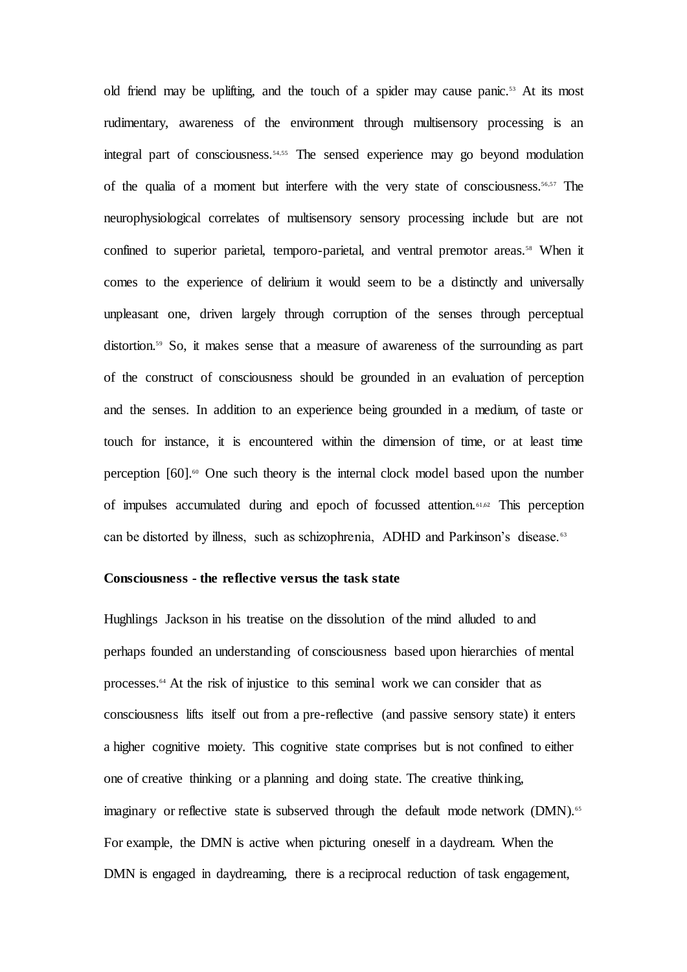old friend may be uplifting, and the touch of a spider may cause panic.<sup>53</sup> At its most rudimentary, awareness of the environment through multisensory processing is an integral part of consciousness.54,55 The sensed experience may go beyond modulation of the qualia of a moment but interfere with the very state of consciousness.<sup>56,57</sup> The neurophysiological correlates of multisensory sensory processing include but are not confined to superior parietal, temporo-parietal, and ventral premotor areas.<sup>58</sup> When it comes to the experience of delirium it would seem to be a distinctly and universally unpleasant one, driven largely through corruption of the senses through perceptual distortion.<sup>59</sup> So, it makes sense that a measure of awareness of the surrounding as part of the construct of consciousness should be grounded in an evaluation of perception and the senses. In addition to an experience being grounded in a medium, of taste or touch for instance, it is encountered within the dimension of time, or at least time perception  $[60]$ <sup>60</sup>.<sup>60</sup> One such theory is the internal clock model based upon the number of impulses accumulated during and epoch of focussed attention.61,62 This perception can be distorted by illness, such as schizophrenia, ADHD and Parkinson's disease. <sup>63</sup>

## **Consciousness - the reflective versus the task state**

Hughlings Jackson in his treatise on the dissolution of the mind alluded to and perhaps founded an understanding of consciousness based upon hierarchies of mental processes.<sup>64</sup> At the risk of injustice to this seminal work we can consider that as consciousness lifts itself out from a pre-reflective (and passive sensory state) it enters a higher cognitive moiety. This cognitive state comprises but is not confined to either one of creative thinking or a planning and doing state. The creative thinking, imaginary or reflective state is subserved through the default mode network (DMN).<sup>65</sup> For example, the DMN is active when picturing oneself in a daydream. When the DMN is engaged in daydreaming, there is a reciprocal reduction of task engagement,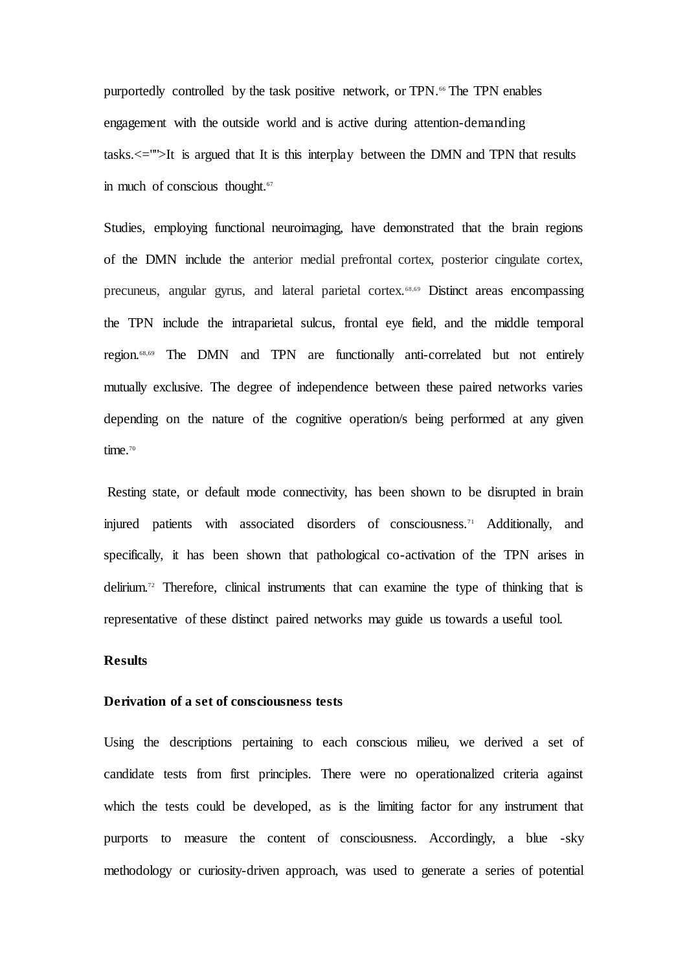purportedly controlled by the task positive network, or TPN.<sup>66</sup> The TPN enables engagement with the outside world and is active during attention-demanding tasks.<="">It is argued that It is this interplay between the DMN and TPN that results in much of conscious thought.<sup>67</sup>

Studies, employing functional neuroimaging, have demonstrated that the brain regions of the DMN include the anterior medial prefrontal cortex, posterior cingulate cortex, precuneus, angular gyrus, and lateral parietal cortex.68,69 Distinct areas encompassing the TPN include the intraparietal sulcus, frontal eye field, and the middle temporal region.68,69 The DMN and TPN are functionally anti-correlated but not entirely mutually exclusive. The degree of independence between these paired networks varies depending on the nature of the cognitive operation/s being performed at any given time.<sup>70</sup>

Resting state, or default mode connectivity, has been shown to be disrupted in brain injured patients with associated disorders of consciousness.<sup>71</sup> Additionally, and specifically, it has been shown that pathological co-activation of the TPN arises in delirium.<sup>72</sup> Therefore, clinical instruments that can examine the type of thinking that is representative of these distinct paired networks may guide us towards a useful tool.

## **Results**

## **Derivation of a set of consciousness tests**

Using the descriptions pertaining to each conscious milieu, we derived a set of candidate tests from first principles. There were no operationalized criteria against which the tests could be developed, as is the limiting factor for any instrument that purports to measure the content of consciousness. Accordingly, a blue -sky methodology or curiosity-driven approach, was used to generate a series of potential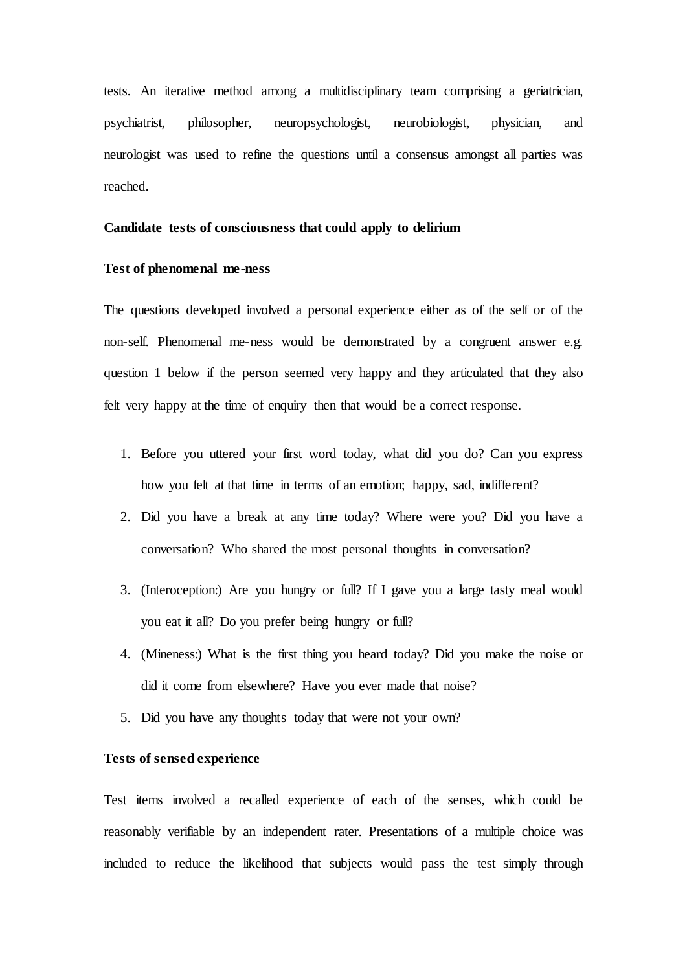tests. An iterative method among a multidisciplinary team comprising a geriatrician, psychiatrist, philosopher, neuropsychologist, neurobiologist, physician, and neurologist was used to refine the questions until a consensus amongst all parties was reached.

### **Candidate tests of consciousness that could apply to delirium**

### **Test of phenomenal me-ness**

The questions developed involved a personal experience either as of the self or of the non-self. Phenomenal me-ness would be demonstrated by a congruent answer e.g. question 1 below if the person seemed very happy and they articulated that they also felt very happy at the time of enquiry then that would be a correct response.

- 1. Before you uttered your first word today, what did you do? Can you express how you felt at that time in terms of an emotion; happy, sad, indifferent?
- 2. Did you have a break at any time today? Where were you? Did you have a conversation? Who shared the most personal thoughts in conversation?
- 3. (Interoception:) Are you hungry or full? If I gave you a large tasty meal would you eat it all? Do you prefer being hungry or full?
- 4. (Mineness:) What is the first thing you heard today? Did you make the noise or did it come from elsewhere? Have you ever made that noise?
- 5. Did you have any thoughts today that were not your own?

### **Tests of sensed experience**

Test items involved a recalled experience of each of the senses, which could be reasonably verifiable by an independent rater. Presentations of a multiple choice was included to reduce the likelihood that subjects would pass the test simply through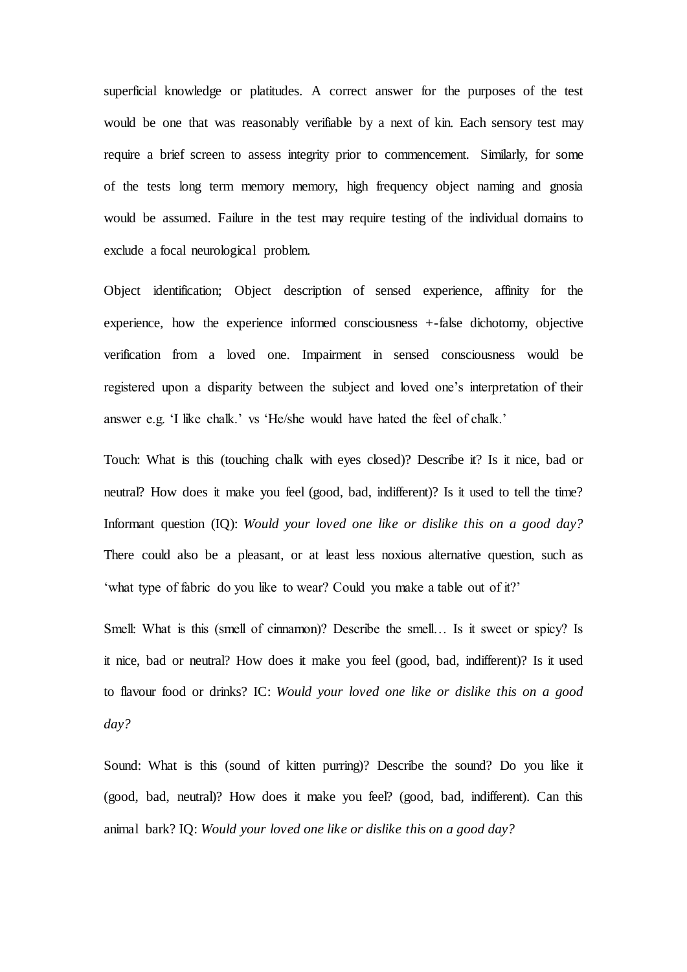superficial knowledge or platitudes. A correct answer for the purposes of the test would be one that was reasonably verifiable by a next of kin. Each sensory test may require a brief screen to assess integrity prior to commencement. Similarly, for some of the tests long term memory memory, high frequency object naming and gnosia would be assumed. Failure in the test may require testing of the individual domains to exclude a focal neurological problem.

Object identification; Object description of sensed experience, affinity for the experience, how the experience informed consciousness +-false dichotomy, objective verification from a loved one. Impairment in sensed consciousness would be registered upon a disparity between the subject and loved one's interpretation of their answer e.g. 'I like chalk.' vs 'He/she would have hated the feel of chalk.'

Touch: What is this (touching chalk with eyes closed)? Describe it? Is it nice, bad or neutral? How does it make you feel (good, bad, indifferent)? Is it used to tell the time? Informant question (IQ): *Would your loved one like or dislike this on a good day?*  There could also be a pleasant, or at least less noxious alternative question, such as 'what type of fabric do you like to wear? Could you make a table out of it?'

Smell: What is this (smell of cinnamon)? Describe the smell… Is it sweet or spicy? Is it nice, bad or neutral? How does it make you feel (good, bad, indifferent)? Is it used to flavour food or drinks? IC: *Would your loved one like or dislike this on a good day?* 

Sound: What is this (sound of kitten purring)? Describe the sound? Do you like it (good, bad, neutral)? How does it make you feel? (good, bad, indifferent). Can this animal bark? IQ: *Would your loved one like or dislike this on a good day?*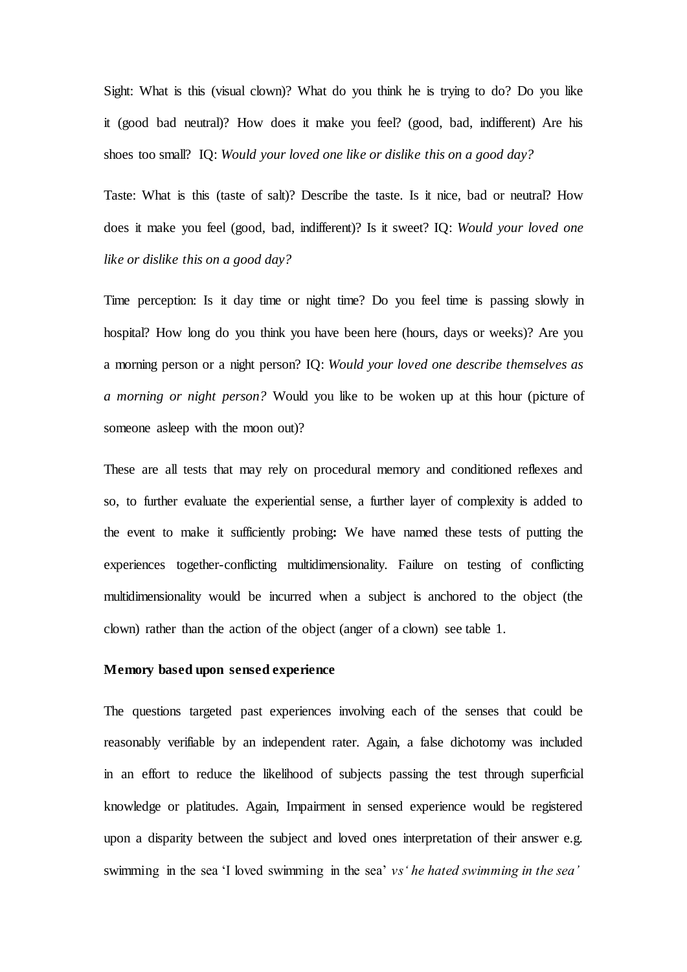Sight: What is this (visual clown)? What do you think he is trying to do? Do you like it (good bad neutral)? How does it make you feel? (good, bad, indifferent) Are his shoes too small? IQ: *Would your loved one like or dislike this on a good day?*

Taste: What is this (taste of salt)? Describe the taste. Is it nice, bad or neutral? How does it make you feel (good, bad, indifferent)? Is it sweet? IQ: *Would your loved one like or dislike this on a good day?* 

Time perception: Is it day time or night time? Do you feel time is passing slowly in hospital? How long do you think you have been here (hours, days or weeks)? Are you a morning person or a night person? IQ: *Would your loved one describe themselves as a morning or night person?* Would you like to be woken up at this hour (picture of someone asleep with the moon out)?

These are all tests that may rely on procedural memory and conditioned reflexes and so, to further evaluate the experiential sense, a further layer of complexity is added to the event to make it sufficiently probing**:** We have named these tests of putting the experiences together-conflicting multidimensionality. Failure on testing of conflicting multidimensionality would be incurred when a subject is anchored to the object (the clown) rather than the action of the object (anger of a clown) see table 1.

### **Memory based upon sensed experience**

The questions targeted past experiences involving each of the senses that could be reasonably verifiable by an independent rater. Again, a false dichotomy was included in an effort to reduce the likelihood of subjects passing the test through superficial knowledge or platitudes. Again, Impairment in sensed experience would be registered upon a disparity between the subject and loved ones interpretation of their answer e.g. swimming in the sea 'I loved swimming in the sea' *vs' he hated swimming in the sea'*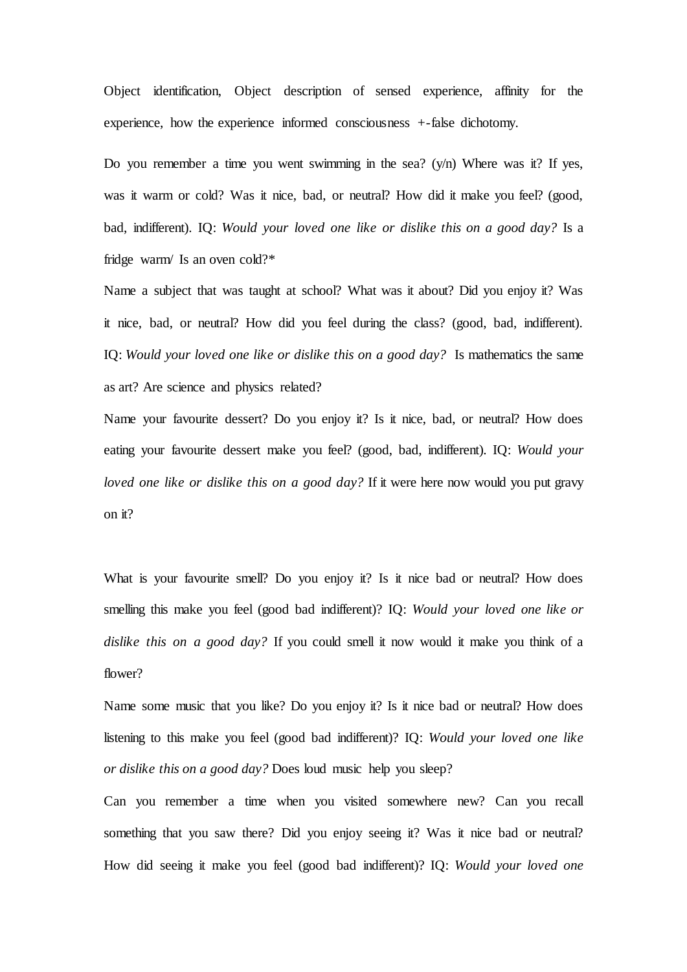Object identification, Object description of sensed experience, affinity for the experience, how the experience informed consciousness +-false dichotomy.

Do you remember a time you went swimming in the sea?  $(y/n)$  Where was it? If yes, was it warm or cold? Was it nice, bad, or neutral? How did it make you feel? (good, bad, indifferent). IQ: *Would your loved one like or dislike this on a good day?* Is a fridge warm/ Is an oven cold?\*

Name a subject that was taught at school? What was it about? Did you enjoy it? Was it nice, bad, or neutral? How did you feel during the class? (good, bad, indifferent). IQ: *Would your loved one like or dislike this on a good day?* Is mathematics the same as art? Are science and physics related?

Name your favourite dessert? Do you enjoy it? Is it nice, bad, or neutral? How does eating your favourite dessert make you feel? (good, bad, indifferent). IQ: *Would your loved one like or dislike this on a good day?* If it were here now would you put gravy on it?

What is your favourite smell? Do you enjoy it? Is it nice bad or neutral? How does smelling this make you feel (good bad indifferent)? IQ: *Would your loved one like or dislike this on a good day?* If you could smell it now would it make you think of a flower?

Name some music that you like? Do you enjoy it? Is it nice bad or neutral? How does listening to this make you feel (good bad indifferent)? IQ: *Would your loved one like or dislike this on a good day?* Does loud music help you sleep?

Can you remember a time when you visited somewhere new? Can you recall something that you saw there? Did you enjoy seeing it? Was it nice bad or neutral? How did seeing it make you feel (good bad indifferent)? IQ: *Would your loved one*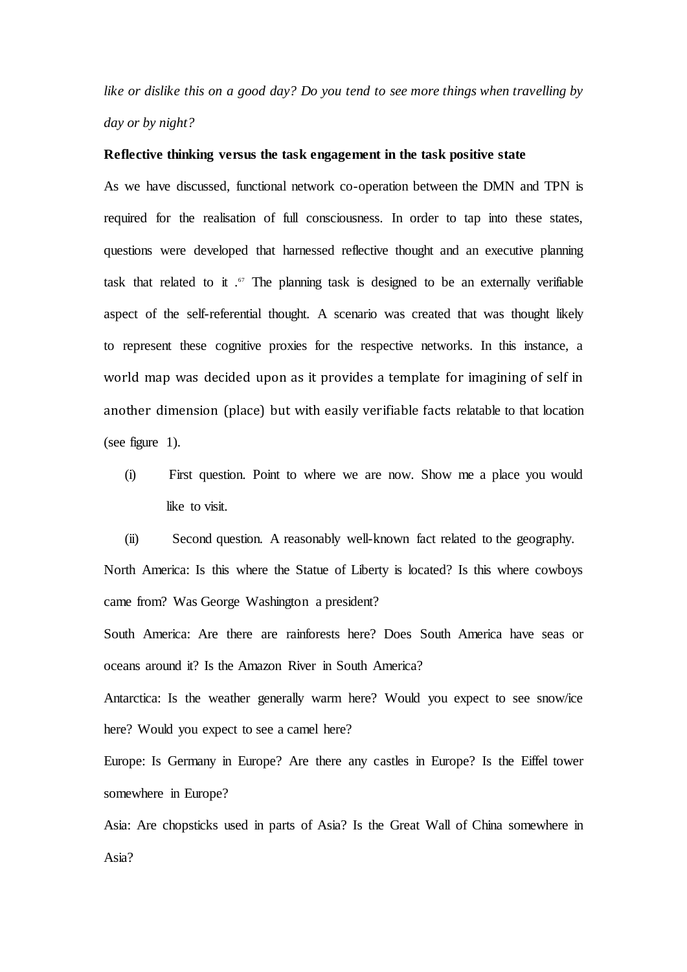*like or dislike this on a good day? Do you tend to see more things when travelling by day or by night?*

### **Reflective thinking versus the task engagement in the task positive state**

As we have discussed, functional network co-operation between the DMN and TPN is required for the realisation of full consciousness. In order to tap into these states, questions were developed that harnessed reflective thought and an executive planning task that related to it  $\cdot$ <sup>67</sup> The planning task is designed to be an externally verifiable aspect of the self-referential thought. A scenario was created that was thought likely to represent these cognitive proxies for the respective networks. In this instance, a world map was decided upon as it provides a template for imagining of self in another dimension (place) but with easily verifiable facts relatable to that location (see figure 1).

(i) First question. Point to where we are now. Show me a place you would like to visit.

(ii) Second question. A reasonably well-known fact related to the geography. North America: Is this where the Statue of Liberty is located? Is this where cowboys came from? Was George Washington a president?

South America: Are there are rainforests here? Does South America have seas or oceans around it? Is the Amazon River in South America?

Antarctica: Is the weather generally warm here? Would you expect to see snow/ice here? Would you expect to see a camel here?

Europe: Is Germany in Europe? Are there any castles in Europe? Is the Eiffel tower somewhere in Europe?

Asia: Are chopsticks used in parts of Asia? Is the Great Wall of China somewhere in Asia?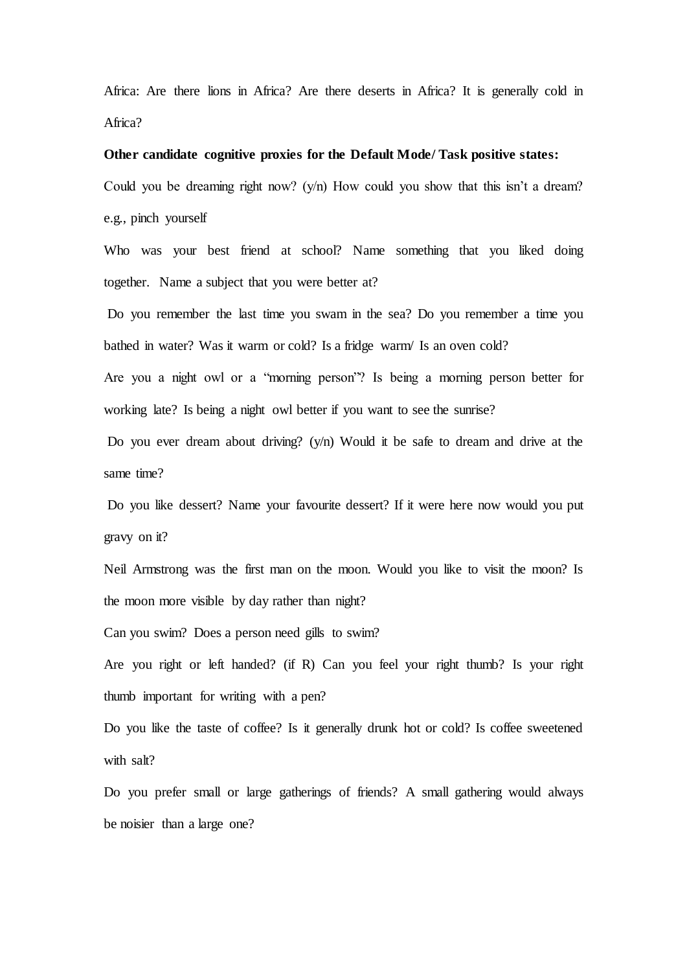Africa: Are there lions in Africa? Are there deserts in Africa? It is generally cold in Africa?

### **Other candidate cognitive proxies for the Default Mode/ Task positive states:**

Could you be dreaming right now? (y/n) How could you show that this isn't a dream? e.g., pinch yourself

Who was your best friend at school? Name something that you liked doing together. Name a subject that you were better at?

Do you remember the last time you swam in the sea? Do you remember a time you bathed in water? Was it warm or cold? Is a fridge warm/ Is an oven cold?

Are you a night owl or a "morning person"? Is being a morning person better for working late? Is being a night owl better if you want to see the sunrise?

Do you ever dream about driving? (y/n) Would it be safe to dream and drive at the same time?

Do you like dessert? Name your favourite dessert? If it were here now would you put gravy on it?

Neil Armstrong was the first man on the moon. Would you like to visit the moon? Is the moon more visible by day rather than night?

Can you swim? Does a person need gills to swim?

Are you right or left handed? (if R) Can you feel your right thumb? Is your right thumb important for writing with a pen?

Do you like the taste of coffee? Is it generally drunk hot or cold? Is coffee sweetened with salt?

Do you prefer small or large gatherings of friends? A small gathering would always be noisier than a large one?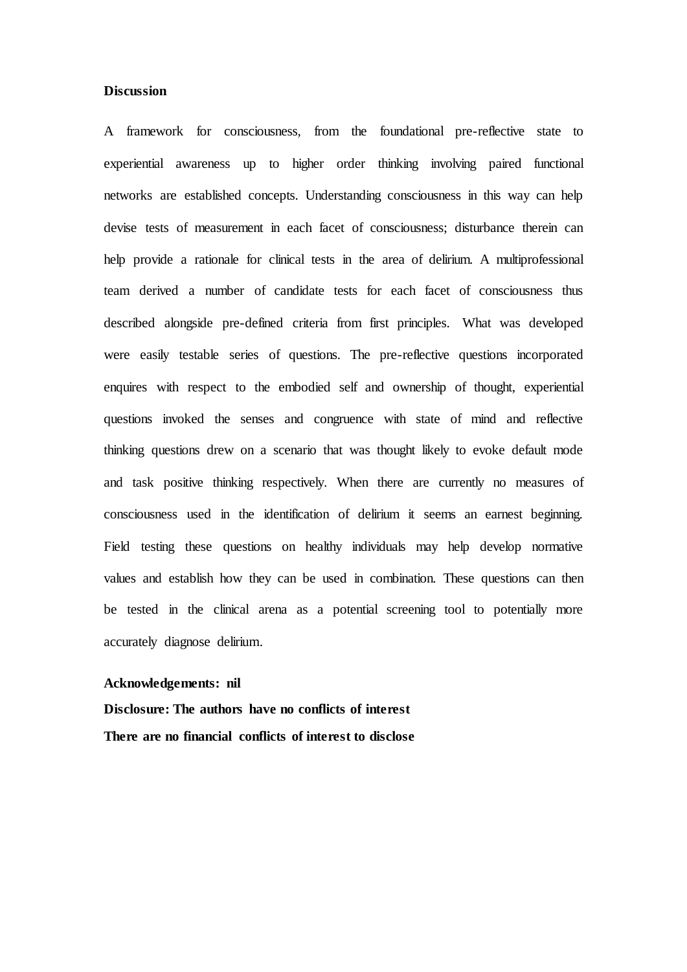### **Discussion**

A framework for consciousness, from the foundational pre-reflective state to experiential awareness up to higher order thinking involving paired functional networks are established concepts. Understanding consciousness in this way can help devise tests of measurement in each facet of consciousness; disturbance therein can help provide a rationale for clinical tests in the area of delirium. A multiprofessional team derived a number of candidate tests for each facet of consciousness thus described alongside pre-defined criteria from first principles. What was developed were easily testable series of questions. The pre-reflective questions incorporated enquires with respect to the embodied self and ownership of thought, experiential questions invoked the senses and congruence with state of mind and reflective thinking questions drew on a scenario that was thought likely to evoke default mode and task positive thinking respectively. When there are currently no measures of consciousness used in the identification of delirium it seems an earnest beginning. Field testing these questions on healthy individuals may help develop normative values and establish how they can be used in combination. These questions can then be tested in the clinical arena as a potential screening tool to potentially more accurately diagnose delirium.

#### **Acknowledgements: nil**

**Disclosure: The authors have no conflicts of interest There are no financial conflicts of interest to disclose**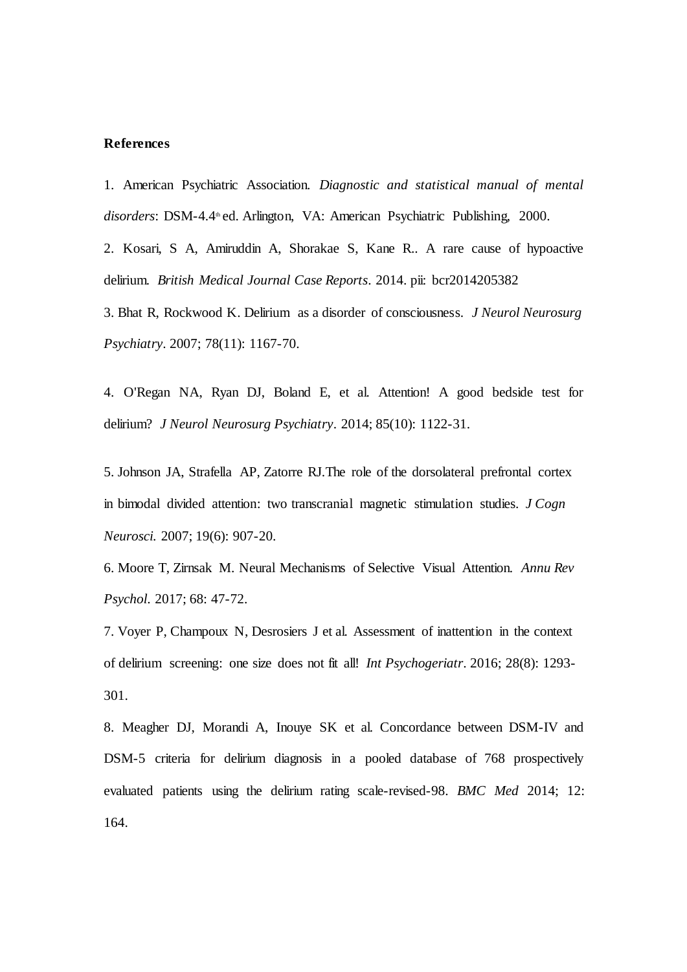### **References**

1. American Psychiatric Association. *Diagnostic and statistical manual of mental*  disorders: DSM-4.4<sup>th</sup> ed. Arlington, VA: American Psychiatric Publishing, 2000.

2. Kosari, S A, Amiruddin A, [Shorakae](https://www.ncbi.nlm.nih.gov/pubmed/?PARAMS=xik_3M7vmwVp3ZURPs4Ja4YDp8kL6xfWwZR48Co6WrTgG51GEP9w27FXdCcGEpx1a5UycWA1fRrrXHMi45Xe7XnxgGVMjrjTPGfhPN5NYNSmjgFHsd) S, Kane R.. A rare cause of hypoactive delirium. *British Medical Journal Case Reports*. 2014. pii: bcr2014205382

3. [Bhat R,](https://www.ncbi.nlm.nih.gov/pubmed/?PARAMS=xik_25sWDp57TRDYnRg8jgWEe4TrYikWE4nzBvp2d8kGJJwyniGhmcgsrsTLqk974opEh9syiaoNaJUyc756XwzVHRR8wMMSQXB5EoVQq6DYTurDxS) [Rockwood K.](https://www.ncbi.nlm.nih.gov/pubmed/?PARAMS=xik_9sN9A8MQLCD141Gb6AjF4dKAmAvU7PxTgvm1QewkacEw8sd8dd2UXT4dvtoURctLavZRAwqAz2QAZBDwPKzwkThq7BozXjs1QdtQSL7tUoUhz) Delirium as a disorder of consciousness. *[J Neurol Neurosurg](https://www.ncbi.nlm.nih.gov/pubmed/17488786)  [Psychiatry](https://www.ncbi.nlm.nih.gov/pubmed/17488786)*. 2007; 78(11): 1167-70.

4. [O'Regan NA,](https://www.ncbi.nlm.nih.gov/pubmed/?PARAMS=xik_8L8XKviWynYPMWeLf1Srw4L4HQrBuQpqqSBQV7Dps8Fs) [Ryan DJ,](https://www.ncbi.nlm.nih.gov/pubmed/?PARAMS=xik_q5CzvewpViqhveWqHNbxyNCCyRBqN1dyTsZLKJ9zWEcZaoenrwpBNdQC8h72zoqWySvAS2igJUvPoZBWWMC5PVpVYvQdrQeJXLQA5eKgBDZdo) [Boland E,](https://www.ncbi.nlm.nih.gov/pubmed/?PARAMS=xik_deYLnfYtMWRDx6YpjgTfpYAX3kfxTBBqF6ftdaTp5mqeWdFW28s1JtKt6yXSuRiFmpZxCPFfwgZEk3VSN7Y4a2CrBd5rPyU8K9auJdsXFGLgB) et al. Attention! A good bedside test for delirium? *[J Neurol Neurosurg Psychiatry](https://www.ncbi.nlm.nih.gov/pubmed/24569688)*. 2014; 85(10): 1122-31.

5. Johnson JA, Strafella AP, Zatorre RJ[.The role of the dorsolateral prefrontal cortex](https://www.ncbi.nlm.nih.gov/pubmed/17536962)  [in bimodal divided attention: two transcranial magnetic stimulation studies.](https://www.ncbi.nlm.nih.gov/pubmed/17536962) *J Cogn Neurosci.* 2007; 19(6): 907-20.

6. [Moore T,](https://www.ncbi.nlm.nih.gov/pubmed/?PARAMS=xik_2dDS3tcsoaocNK84KNirNaMYZxjnyAF6F15dfrRZCBoKMGb2eXBXBKK24MF3HTYAe3KYvKSuASbMZBFjViLKuTtAs28qkPiqj89G7zxnZCJ2er) [Zirnsak M.](https://www.ncbi.nlm.nih.gov/pubmed/?PARAMS=xik_T5fHsDptiUY359bc1W28CqRMMBCaHWBwDjzqPdmJJry9bhRAvY9YC14s9RhAs6dbnPccHUKwMt27p8Qkfsx4wRswL8ihb2TZPEf154u3ngrLZ) Neural Mechanisms of Selective Visual Attention. *[Annu Rev](https://www.ncbi.nlm.nih.gov/pubmed/28051934)  [Psychol](https://www.ncbi.nlm.nih.gov/pubmed/28051934)*. 2017; 68: 47-72.

7. Voyer P, Champoux N, Desrosiers J et al. [Assessment of inattention in the context](https://www.ncbi.nlm.nih.gov/pubmed/27004924)  [of delirium screening: one size does not fit all!](https://www.ncbi.nlm.nih.gov/pubmed/27004924) *Int Psychogeriatr*. 2016; 28(8): 1293- 301.

8. [Meagher DJ,](https://www.ncbi.nlm.nih.gov/pubmed/?PARAMS=xik_2yujGD6PksiRMP5PbKsGi1NHhNgdFm4v9trg77uZ5dGSuAEscPzwrwwmfx4DCNKm57MRa5FZ5PYye5hBNMXPtvtHvjwaSb9NfZ2pTiY8AJYdNk) [Morandi A,](https://www.ncbi.nlm.nih.gov/pubmed/?PARAMS=xik_2u2GrJgsvYKWcQWLSNWzPCsDf58Y6HsJtpQfHpBzh6mfR9BSmJqtZg5JisZ23ci4U9Ygxgh4wV99ViYDkM6fsvNdDyjC2ht4nHjgUxUye397G3) [Inouye SK](https://www.ncbi.nlm.nih.gov/pubmed/?PARAMS=xik_2HgrH8DPV5JSLepUn6nYA8qisgdUBGXvoJKSxbZw41V9CZaWjsFLayHYtqnCK5FYLqjQfRetFodHQff3ix2hjLSUwo5j3A5zwdcwZFrxgnR9ci) et al. Concordance between DSM-IV and DSM-5 criteria for delirium diagnosis in a pooled database of 768 prospectively evaluated patients using the delirium rating scale-revised-98. *[BMC Med](https://www.ncbi.nlm.nih.gov/pubmed/?PARAMS=xik_4b8UMHVBZxy52GCoN2X7bLoNbWwDkranShTTkaQxJd1URQYeqz9PCQvUfZXTqCXZDzcSZJ9PxZtB3T8hjo6x4huRb244HBERDuXSPpkzTktdJa1dDLP9GC8bXHXMXd97J9sX995hMa9jqWxPgcwGNrYtJfSwQMt9c3tjW8Jjwmy4Rwjp3YhCRUyAfDu2jAmqSt43VkWotJn88FFSc98KaDDJ8Qo)* 2014; 12: 164.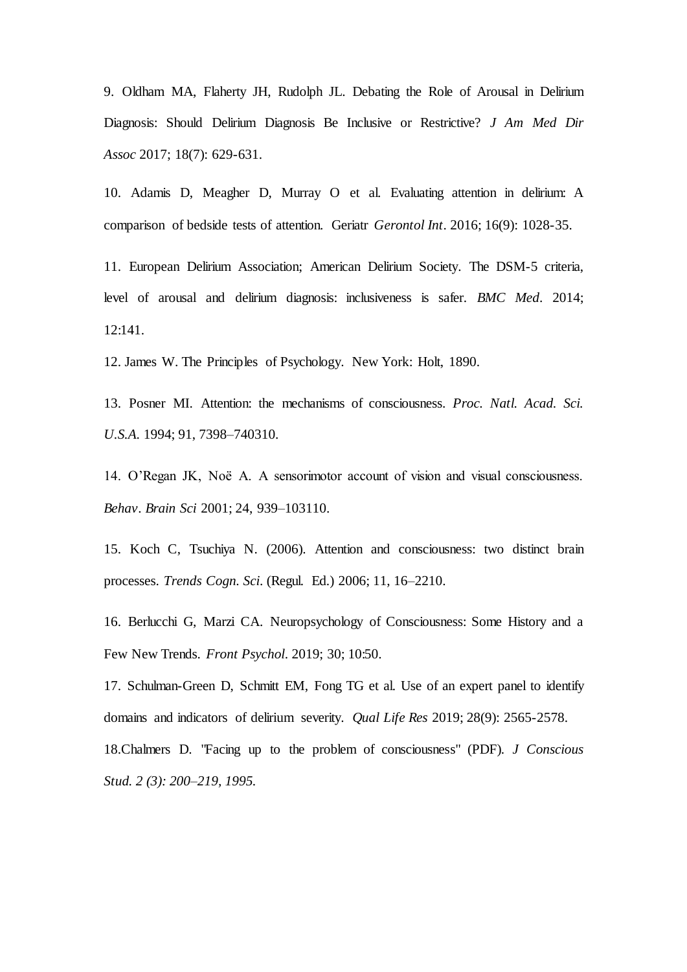9. [Oldham MA](https://www.ncbi.nlm.nih.gov/pubmed/?PARAMS=xik_32YDw3X2jAYD9GuCmyU5oo3x6j2VnqEqkd1w7emkshAD1WUdV7cW9PZqzQuMxmLDiRBKEz7ebwoxN9yTDFc2VDEMdsZxkPm48AWET6YArDLzG7)[, Flaherty JH](https://www.ncbi.nlm.nih.gov/pubmed/?PARAMS=xik_3cFmnBDZQruMWDgZCYJ8pYgykdkbWzV5Txd9544quSzLbvSwAVFad6GpDGXbvN93TkQCuth2RWtr1nqHvm5T3U3YaRWv7X8jkC9FwvpzChTnTp)[, Rudolph JL](https://www.ncbi.nlm.nih.gov/pubmed/?PARAMS=xik_2R4fZfjvyhcn5h37KmXbWod9EC8BDfHpEvRbmy613VNcMChtQQENLDrHkgua4VxYkvCbHCcCzwDM8yw43jYEK1L28F6S9dAavbCyaas1eRWCq). Debating the Role of Arousal in Delirium Diagnosis: Should Delirium Diagnosis Be Inclusive or Restrictive? *[J Am Med Dir](https://www.ncbi.nlm.nih.gov/pubmed/28442228)  [Assoc](https://www.ncbi.nlm.nih.gov/pubmed/28442228)* 2017; 18(7): 629-631.

10. [Adamis D,](https://www.ncbi.nlm.nih.gov/pubmed/?PARAMS=xik_Be3JuPPW1HxdKpPmwo9UFaX8e6V9GfmM2e4eC3K8tZuiuWXMUm19QK7HEVKnqXUQSwmDvD2SFDXyQojEzShoSW4TGKFvBv8nZ8qXmUKs6v2ik) [Meagher D](https://www.ncbi.nlm.nih.gov/pubmed/?PARAMS=xik_2yujGD6PksiRMP5PbKsGi1MxtEsQ81YzvidDpRKM38V5qExog2fx24FaT7aX4x4kySEqmYGHghZq3c3UmMMFBwU6V3ApiN9as41wMqVFTDQsnh)[, Murray O](https://www.ncbi.nlm.nih.gov/pubmed/?PARAMS=xik_2C5PagRTBqWBKMuXM2Kzeebu4UDwQYU7TS8ZLuytNq1Wo6Nbv5Pca1bGYJanfknwsvirjqnseyRtViPHGZtmBr4hDtRy4rYoBzCoaCChtgHCni) et al. Evaluating attention in delirium: A comparison of bedside tests of attention. Geriatr *[Gerontol Int](https://www.ncbi.nlm.nih.gov/pubmed/26419620)*. 2016; 16(9): 1028-35.

11. [European Delirium Association;](https://www.ncbi.nlm.nih.gov/pubmed/?PARAMS=xik_A6TPMKUHvonJyy9LzhVPx7Jqjg1per6e1VjGX1RLYTFFuRBufLEqApF6jvJ7eR4uZfFs4vnUTyGuEBuNw3L1C7UQKMFiaE6NM1uG53UAJ2V8w) [American Delirium Society.](https://www.ncbi.nlm.nih.gov/pubmed/?PARAMS=xik_3W93jLtqE4BPL8YaY3H1NhwouffuzgoXFhvXWJpvupewSSPyQuMafGv1fPDqW7h99gxt4wHx9k2m39VTLYB5B7Jq1hM6JwTxjvmCyvh2HXjTzc) The DSM-5 criteria, level of arousal and delirium diagnosis: inclusiveness is safer. *[BMC Med](https://www.ncbi.nlm.nih.gov/pubmed/25300023)*. 2014; 12:141.

12. James W. The Principles of Psychology. New York: Holt, 1890.

13. Posner MI. Attention: the mechanisms of consciousness. *Proc. Natl. Acad. Sci. U.S.A.* 1994; 91, 7398–740310.

14. O'Regan JK, Noë A. A sensorimotor account of vision and visual consciousness. *Behav. Brain Sci* 2001; 24, 939–103110.

15. Koch C, Tsuchiya N. (2006). Attention and consciousness: two distinct brain processes. *Trends Cogn. Sci*. (Regul. Ed.) 2006; 11, 16–2210.

16. [Berlucchi G,](https://www.ncbi.nlm.nih.gov/pubmed/?PARAMS=xik_2BuYZzFeYd8pEbmhSPMpFmu41Zin6L3ZLDAPf9qFmXsEWySYf77xXZ7dK1FfVh8zkJfmjRv81XTrVRFcgWfVmwsYvgDa7LRedduaF9VP4p6g11) [Marzi CA](https://www.ncbi.nlm.nih.gov/pubmed/?PARAMS=xik_8tzkk7rdMAy2RgfRXcXLMn6h4ZecbfemKNS4hKT2MzPY5fUwS768mt3GTwekKDy3JThv3dPpEvTt5eRHxak6GTQJZQV1Yk6Ls69ExWHNa8tqk). Neuropsychology of Consciousness: Some History and a Few New Trends. *[Front Psychol](https://www.ncbi.nlm.nih.gov/pubmed/30761035)*. 2019; 30; 10:50.

17. [Schulman-Green D,](https://www.ncbi.nlm.nih.gov/pubmed/?PARAMS=xik_Qpu94oWVqLGAbC2MvgKUKjpgCJfDPQ5nJfUVsCYoRtuFSLDSKSiLowKGTp7xkBE8yBuNwwX2zpz4JM7dkK31GqEUAinq5kUuktJRUxjBz7vgb) [Schmitt EM,](https://www.ncbi.nlm.nih.gov/pubmed/?PARAMS=xik_vS5ioVkD85t4LfrGvtA8PeM4z8MGi2x6sQgkqMyncBVNfJiuZ3V3KAQrC69NHxwviRTtduHXGp9AFpwASB9PUZ7FjYhPXuZ1ntPxSGtpNKFvR) [Fong TG](https://www.ncbi.nlm.nih.gov/pubmed/?PARAMS=xik_2awzydDdVyQFyemiuBTdidw2shBy2MUpMSp5koMKWGwNdMEt9G6JLNd4NsQM6jWb2ehxRVw2QCNKizx2edScEqzAdVtgZHLg1uBohHrsTihwWz) et al. Use of an expert panel to identify domains and indicators of delirium severity. *[Qual Life Res](https://www.ncbi.nlm.nih.gov/pubmed/31102155)* 2019; 28(9): 2565-2578. 18.Chalmers D. ["Facing up to the problem of consciousness"](http://consc.net/papers/facing.pdf) (PDF)*. [J Conscious](https://en.wikipedia.org/wiki/Journal_of_Consciousness_Studies)  [Stud.](https://en.wikipedia.org/wiki/Journal_of_Consciousness_Studies) 2 (3): 200–219, 1995.*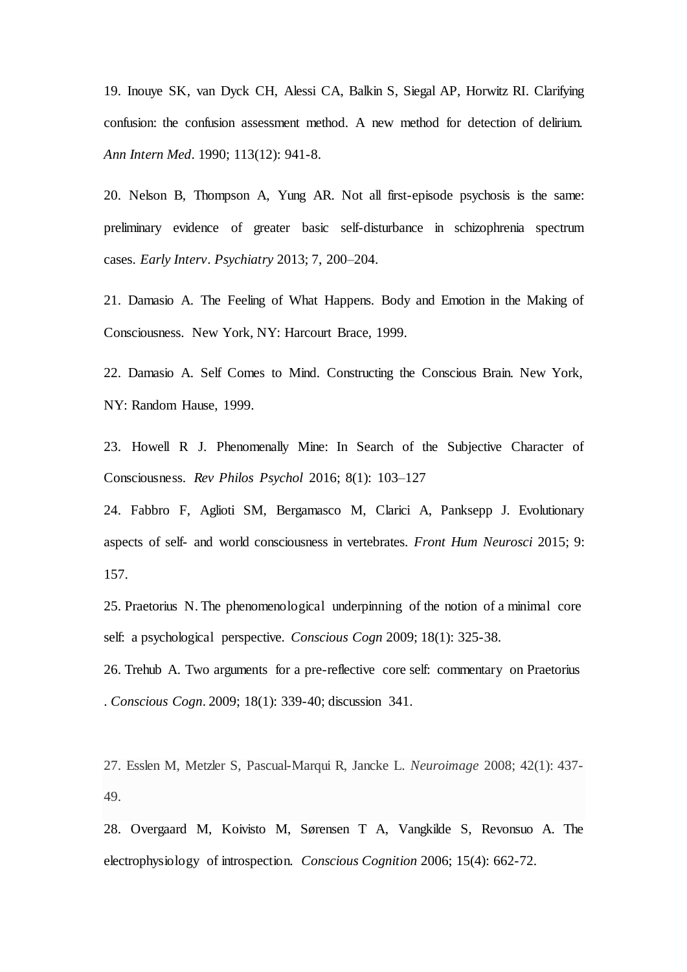19. [Inouye SK](https://www.ncbi.nlm.nih.gov/pubmed/?PARAMS=xik_2HgrH8DPV5JSLepUn6nYA8qisgdUBGXvoJKSxbZw41V9CZaWjsFLayHYtqnCK5FYLquoECpYYBsFpjcpcfodW2KmSHHBAKi4prHAdRgQrf52cb)[, van Dyck CH](https://www.ncbi.nlm.nih.gov/pubmed/?PARAMS=xik_2bYNkPqPyUTJU7gghyHj5AwzvKANrJBojEwJ32A1sheViTDU53i1kZvsqJ1Npvsfk9jsJWpxdm29qr4H4TB6aCQqhy3BQvPQCXjnCwC8qu3nPd)[, Alessi C](https://www.ncbi.nlm.nih.gov/pubmed/?PARAMS=xik_3ghFnRNGccYjwCM4CXXGGGadgtTLaHHZHPVjaTazUZYCNFTDwAPeD8FpQg4tpmkbjGws5H5DgipuoCo3bsMSmQAjVxbypWQzcpEupy9An61Etn)[A, Balkin](https://www.ncbi.nlm.nih.gov/pubmed/?PARAMS=xik_NxC6FtF68y4pc9wswHaM2G4Tf7wYmgcyfcVWj9JEfCH4F2eNiiwkFkvMW83giVfjgu7wsiNSg8c5kS3SBBisFjF1j2ZUCchtJCoU2D2RAi8SV) [S, Siegal A](https://www.ncbi.nlm.nih.gov/pubmed/?PARAMS=xik_W2JCMgqRSnFvW3EdmvdsqYTvnnUBbHPU4n9aTS4fXzizAWpLGdYHoYbrtMR9vPgA2nxUSMJWbmxKjPSosTExGUeCuQdcvYXcQcuLzSdVgtSZZ)[P, Horwitz RI](https://www.ncbi.nlm.nih.gov/pubmed/?PARAMS=xik_2D6qr5jiSbwmgZiv5X1ZEDXEphvbsdTsqrKo8qVEBPjJuZQw1TXbWmSJNwyuzoZsjqCUq7M4hF2yDdJBd1Yd2rwbAkKJDh3ZjCzAt2iptBhwqj). Clarifying confusion: the confusion assessment method. A new method for detection of delirium. *[Ann Intern Med](https://www.ncbi.nlm.nih.gov/pubmed/2240918)*. 1990; 113(12): 941-8.

20. Nelson B, Thompson A, Yung AR. Not all first-episode psychosis is the same: preliminary evidence of greater basic self-disturbance in schizophrenia spectrum cases. *Early Interv. Psychiatry* 2013; 7, 200–204.

21. Damasio A. The Feeling of What Happens. Body and Emotion in the Making of Consciousness. New York, NY: Harcourt Brace, 1999.

22. Damasio A. Self Comes to Mind. Constructing the Conscious Brain. New York, NY: Random Hause, 1999.

23. Howell R J. Phenomenally Mine: In Search of the Subjective Character of Consciousness. *[Rev Philos Psychol](https://link.springer.com/journal/13164)* 2016; 8(1): 103–127

24. [Fabbro](https://www.ncbi.nlm.nih.gov/pubmed/?PARAMS=xik_kQDBgDNfNNwPKxam2f3MBgjvzZVrJvxB7ccbUnQZBqW3JShWS9a8UEbqwffVLLFbMC9VERZNgr6MxQTRWnJgkoGCZPA8fJwr9mbon7fPswdp6) F[, Aglioti](https://www.ncbi.nlm.nih.gov/pubmed/?PARAMS=xik_2HXmbDWJ2w2gAQhhk8ChrM3dq6wA2eBtSnLYmNPMpdHxnsvZ8EQd89xNK68U5Dn6L8Rq4W8NXv3w1qVLuxP4VWGqWFL4xwiNt9TwFXcM9utr5C) SM, [Bergamasco](https://www.ncbi.nlm.nih.gov/pubmed/?PARAMS=xik_3cXzzpQ5n4gciqxBoVysL1AJNLqEkQhV5zLcymBmht3ndYbhZrxNSRWbhJfhDmZyRF3fXrcBtmeZDYZWKoHD6RDFwxKtNPW328x8pKwffTHFk1) M[, Clarici](https://www.ncbi.nlm.nih.gov/pubmed/?PARAMS=xik_3i4ptnHuLU1g8XXUyK73BQjREmwVDpEKkBe8Ge2H7ERvZEU8oFobNMy77KG3DsTULNihYWWGVEWmG3RfzHaeaMWM545wA5ZtJ3PGpzgfABVM9P) A[, Panksepp](https://www.ncbi.nlm.nih.gov/pubmed/?PARAMS=xik_35a6DxBQrsp4R6Yihk3NGAzDscvNt2h7wdQGgnj7uci5TzfQ5pgTTJmt8RFkLVhY8FZcxWaMEi9BrYY9Xswz9EQHgwiEftnayoyVG24Rm49TR1) J. Evolutionary aspects of self- and world consciousness in vertebrates. *[Front Hum Neurosci](https://www.ncbi.nlm.nih.gov/pmc/articles/PMC4374625/)* 2015; 9: 157.

25. [Praetorius N.](https://www.ncbi.nlm.nih.gov/pubmed/?PARAMS=xik_3ByQJFrjnhdzZAkijpzNPuNAsSX53q5dYnJLFxSXkh5WgKyRs2wS8RcmSUc22q7ovZSChUv2eRWXkrWb3B7spbUY4RCbfq3iZYrfAC4wzGCg2i) The phenomenological underpinning of the notion of a minimal core self: a psychological perspective. *[Conscious Cogn](https://www.ncbi.nlm.nih.gov/pubmed/18407523)* 2009; 18(1): 325-38.

26. Trehub A. [Two arguments for a pre-reflective core self: commentary on Praetorius](https://www.ncbi.nlm.nih.gov/pubmed/18835728)  [.](https://www.ncbi.nlm.nih.gov/pubmed/18835728) *Conscious Cogn*. 2009; 18(1): 339-40; discussion 341.

27. Esslen M, Metzler S, Pascual-Marqui R, Jancke L. *Neuroimage* 2008; 42(1): 437- 49.

28. [Overgaard M, Koivisto](https://www.ncbi.nlm.nih.gov/pubmed/?PARAMS=xik_FZtJXbHLxqAiiQhFSqHYBhY4NNhtSQ4bVxeD3KoHFv1gzbDFiy6Av7NEnXmEHSLWcK8SV24DUt3z3wyUdL8BQWDw5D5tF1McBBZYbGTGh7EYS) M, [Sørensen T A, Vangkilde S,](https://www.ncbi.nlm.nih.gov/pubmed/?PARAMS=xik_Qr7NkJQ5Pii1npmddK9V7hN458PRD9q5Kx8BLsRTg8WH1dpUFGtpoj2KitaFJXeBpX46HGbqnA9gHnLwWHgKSBCHyx3naj8iXeg3UsbW8obHY) Revonsuo A. The electrophysiology of introspection. *[Conscious Cognition](https://www.ncbi.nlm.nih.gov/pubmed/16931055)* 2006; 15(4): 662-72.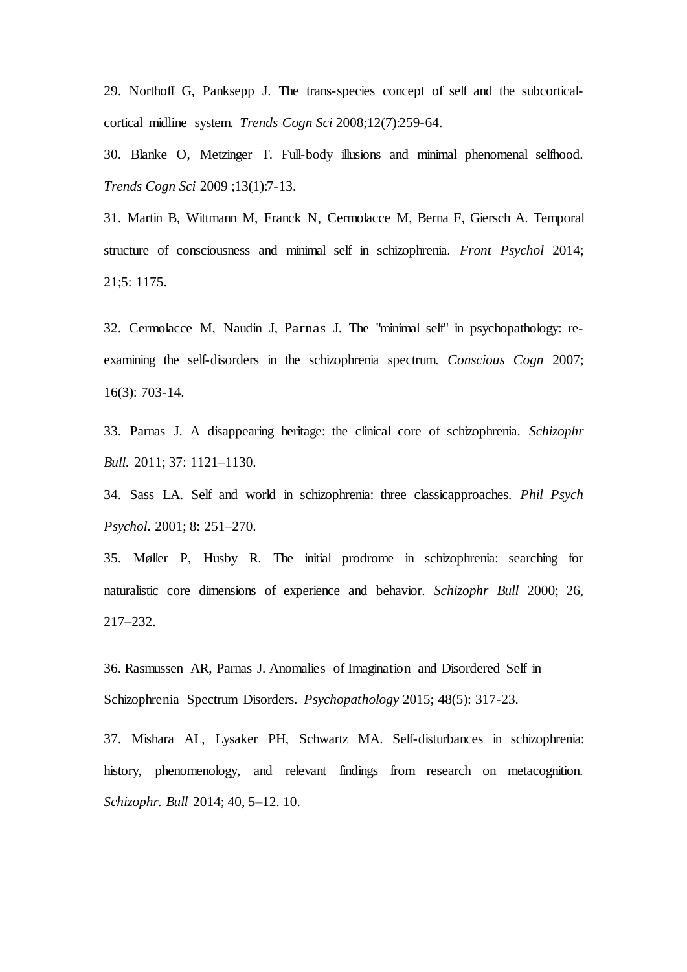29. [Northoff G,](https://www.ncbi.nlm.nih.gov/pubmed/?PARAMS=xik_3YLLx8FstGvoZxUWRriC7JgFPaWpAu31Vdv1ffwqLhu76gFHKMZsoLPYCg1haH5MfqjxVQGoiEnW9kYY6gjeqApdhUdTNbScMKmiP7uT2Dq3a4) [Panksepp J](https://www.ncbi.nlm.nih.gov/pubmed/?PARAMS=xik_35a6DxBQrsp4R6Yihk3NGAzDscvNt2h7wdQGgnj7uci5TzfQ5pgTTJmt8RFkLVhY8FmQNoTReyYNo8PfPXS93jeBzDb3ZcruZXmYC88aqUq7LY). The trans-species concept of self and the subcorticalcortical midline system. *[Trends Cogn Sci](https://www.ncbi.nlm.nih.gov/pubmed/18555737)* 2008;12(7):259-64.

30. Blanke O[, Metzinger T.](https://www.ncbi.nlm.nih.gov/pubmed/?PARAMS=xik_nHUfaDPnFntKc9uQ2RZnMnHspzXX1HBmknde8DHQjhPykhC5gfLiHLon8mVzznnQvxGUBzCH9rEYhfgH2HGFPaZMvtECaQ3JgSaZygrKuLZze) Full-body illusions and minimal phenomenal selfhood. *Trends Cogn Sci* 2009 ;13(1):7-13.

31. [Martin B,](https://www.ncbi.nlm.nih.gov/pubmed/?PARAMS=xik_3UrCjk9LMfTPLGpWrw27oXieGDtVmaA8neArATz4Z4Vx9vhzpFzSQJz3UhMxtBFHcY98UsfQHCTEAhrEBiBnbm9smpruMpdcMK4Af4HbRH7Z26) [Wittmann M,](https://www.ncbi.nlm.nih.gov/pubmed/?PARAMS=xik_2SQ8nq7jcavBAemGKa464bnmJBo6MYpXHeiZfXRD6i4Fe6UULwTrmGypT8ra8B4a3t2BKdENnJaa3Xo9p2uw5vz2g6dmwEat37jVVeCQ3MjBFa) [Franck N](https://www.ncbi.nlm.nih.gov/pubmed/?PARAMS=xik_jANnCjSfkPxW7wNBEWZP5ai3RmCRUjz4BZrM3zKoFQWuDaorc9hR2bNy2mzBZSV1skoSW1osEHXCz1T6nskPyM8WhkhYarmm9He9S8fjApdKh)[, Cermolacce M](https://www.ncbi.nlm.nih.gov/pubmed/?PARAMS=xik_2VaaHcPrM5oAEqUVEeNQZ9d3mhwtG7ubiyGwhF7LJngmobjE4MRojWKtNDZciD2hKQ2vyddMYsbinE7UigenTTLv8yq2neDBEfFeAZcZ8ZnGqz)[, Berna F](https://www.ncbi.nlm.nih.gov/pubmed/?PARAMS=xik_2BuYZzFeYd8pEbmhSPMpFmvRS3f6CkzwPe3KyehcSA4BFC9KSJkSdae3oDJjA2nFaNt43NsPaUX8AyGM2eEV9rzztsUdgJFcpYpKWjveswt1ZH)[, Giersch A](https://www.ncbi.nlm.nih.gov/pubmed/?PARAMS=xik_bVfgipSopjhdJvDLC9RoFFBPW1CsSGXyCtCUbdk3q7hMwD1T9bMLF1WK3dZaQxpMmvNtGf5gm25nN5WnWeHHTQ9QW6fG8nJhvrTp8Z1voviSL). Temporal structure of consciousness and minimal self in schizophrenia. *[Front Psychol](https://www.ncbi.nlm.nih.gov/pubmed/25400597)* 2014; 21;5: 1175.

32. [Cermolacce M](https://www.ncbi.nlm.nih.gov/pubmed/?PARAMS=xik_2VaaHcPrM5oAEqUVEeNQZ9d3mhwtG7ubiyGwhF7LJngmobjE4MRojWKtNDZciD2hKQ47RcFje525RZkb2bB7qdxE5bjC4SwjXzr8T3MFJzT291)[, Naudin J](https://www.ncbi.nlm.nih.gov/pubmed/?PARAMS=xik_3AbGXtLmrg9NRH2v9DVvDw1bXVjfJuuXFGBEdY4XhFbX6TscjY4u2wxCkESW4mQukXnsADxw9GMwT3DSGQvwFTeQnuBqCEwRfzwBqBpucGwHiF), [Parnas](https://www.ncbi.nlm.nih.gov/pubmed/?PARAMS=xik_r4tvGditjZ9JmKsVFAdrZwx8Qd81W8tkLqHTkXhNqdnWEQfF7bG7bMH9VF4zLv9AmeksSUrjdLujYq7ubM7k1Kb4y6V1X2TNoW3HWnYh2KKNb) J. The "minimal self" in psychopathology: reexamining the self-disorders in the schizophrenia spectrum. *[Conscious Cogn](https://www.ncbi.nlm.nih.gov/pubmed/17632013)* 2007; 16(3): 703-14.

33. Parnas J. A disappearing heritage: the clinical core of schizophrenia. *Schizophr Bull*. 2011; 37: 1121–1130.

34. Sass LA. Self and world in schizophrenia: three classicapproaches. *Phil Psych Psychol*. 2001; 8: 251–270.

35. Møller P, Husby R. The initial prodrome in schizophrenia: searching for naturalistic core dimensions of experience and behavior. *Schizophr Bull* 2000; 26, 217–232.

36. [Rasmussen AR,](https://www.ncbi.nlm.nih.gov/pubmed/?PARAMS=xik_xY38DvSePQnV2DdgXNK2S91tQoPH5yhXxgaFFamU8xr88k3DrMCM37GcfrveWxZpzSyp6TmTuvL9FbduZjaRgQ1vfaF4qdKhFLNSaD7U81XBv) [Parnas J.](https://www.ncbi.nlm.nih.gov/pubmed/?PARAMS=xik_r4tvGditjZ9JmKsVFAdrZwx8Qd81W8tkLqHTkXhNqdnWEQfF7bG7bMH9VF4zLv9AmfpiuyWQstjzPRpobTEA9sFw9mz7xoUpGVJvQhjtShsmy) Anomalies of Imagination and Disordered Self in Schizophrenia Spectrum Disorders. *[Psychopathology](https://www.ncbi.nlm.nih.gov/pubmed/26352692)* 2015; 48(5): 317-23.

37. Mishara AL, Lysaker PH, Schwartz MA. Self-disturbances in schizophrenia: history, phenomenology, and relevant findings from research on metacognition. *Schizophr. Bull* 2014; 40, 5–12. 10.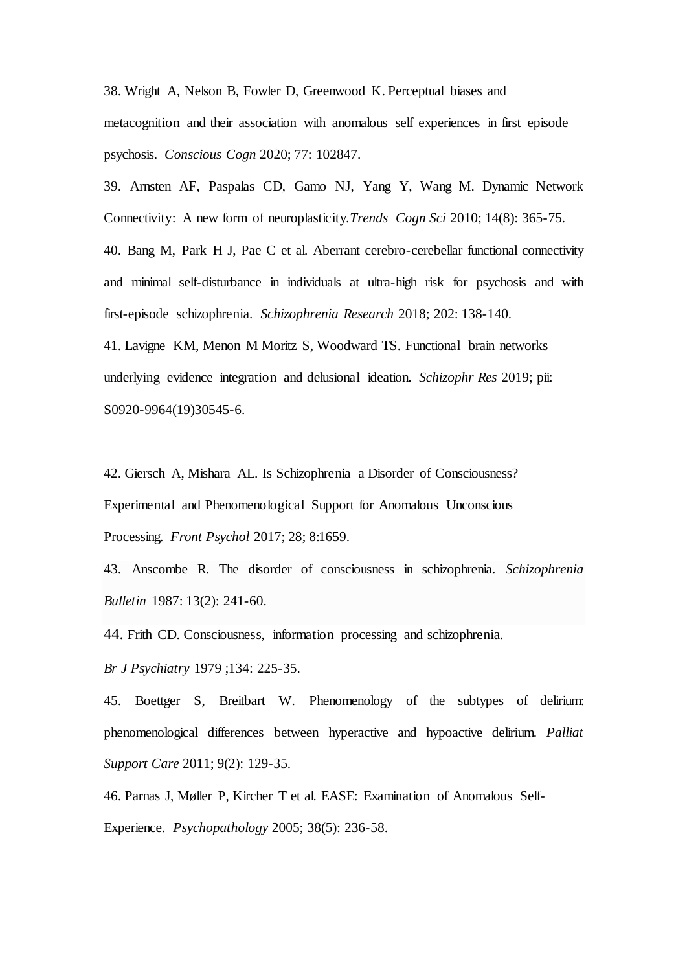38. [Wright A,](https://www.ncbi.nlm.nih.gov/pubmed/?PARAMS=xik_28gv4QPTDgU8QkhPQT4aMoougufm3FT88FYzNMnwabo15UfiHB99QXK79QDnupNnZyGGLf7Brr1fqURd1aSTQCGQ1c1fBrZTVdcfuBYxh9uvkz) [Nelson B,](https://www.ncbi.nlm.nih.gov/pubmed/?PARAMS=xik_3ae4WSDfPJJn9qwcf7x2kmRN5L2TPgfCQCkB7hNPaQdc8GoZsZ53diL2rEKQtgerCDpkTPVoAYfcpkjX3W9TyzMPz2MPectswk4uGip3RnKYnb) [Fowler D,](https://www.ncbi.nlm.nih.gov/pubmed/?PARAMS=xik_2255qx4TUkB2BAKDAtMjNzwPmjS3vseoc7JpJsPQMJXo9ux5W3muH5dgDyvCnQQrVUY3yAmPWqBJmwAKzTpoEezsMTV8rgmXrWUvsTit4wdrR3) [Greenwood K.](https://www.ncbi.nlm.nih.gov/pubmed/?PARAMS=xik_2Kzc2U6GSQHQ34gTArdr9hAB3P6rLTUfmPC6vjP5qbtSi8oFpVuYFh1FBChvH5qXdwbvvJAVTb1NpUnWkTpfoFeMgdaRKcjRrRNscEPh7AfHRo) Perceptual biases and metacognition and their association with anomalous self experiences in first episode psychosis. *[Conscious Cogn](https://www.ncbi.nlm.nih.gov/pubmed/31683221)* 2020; 77: 102847.

39. [Arnsten AF,](https://www.ncbi.nlm.nih.gov/pubmed/?PARAMS=xik_2LjikHjUUoQcgQa5T8M6wgZC7LYUJ8uBsKae5GAaGurnThXRe98KmLfmVkiYz6QekNyQSPSQQJk2rTqwpZXLxNPerzrNx2PHCu7X3WLQUQ62xQ) [Paspalas CD,](https://www.ncbi.nlm.nih.gov/pubmed/?PARAMS=xik_3WjwHqHeEfy2St2bi9VerSE7prpLSucJbeH9MQtUP7SNy9Urx7HKLUGaZHqghwf5WU6pnC7sDLhVd1UD4YwEewRVgzgyPFbRGq34cGuwRKc8Qu) [Gamo NJ](https://www.ncbi.nlm.nih.gov/pubmed/?PARAMS=xik_246J6JszQBNaKrBuZaoXjhRG33Dd3Q8yRBZxdWrcuSc3NnzYDjqKHpxCJneVdUtac7tZRWYxL3p4jeyMvxf8t3w6K8uaLq4tBgwEyZkhgMHE4D)[, Yang Y](https://www.ncbi.nlm.nih.gov/pubmed/?PARAMS=xik_ZGaXvmeMmviifthKgPrYqKKkYWJ1YYvUu27gQKTfWyYEmYXwNTR6yamSdwtQZhUXDRUGk9iLVpcxEARsh8XuFknQnwaWNoHvF6LSYbzXP96iE)[, Wang M](https://www.ncbi.nlm.nih.gov/pubmed/?PARAMS=xik_2TfHJrjYPXPc6Fwey2mezMQe9QeppGMVjwMaW2kjHgNynHw2FVQ63UrbQdNZ5f1xn92aNL64ymxuQgF7XSKgq6sLcjinQoFHsGYZZXmqM9BqTL). Dynamic Network Connectivity: A new form of neuroplasticity.*[Trends Cogn Sci](https://www.ncbi.nlm.nih.gov/pubmed/20554470)* 2010; 14(8): 365-75.

40. Bang M, Park H J, Pae C et al. Aberrant cerebro-cerebellar functional connectivity and minimal self-disturbance in individuals at ultra-high risk for psychosis and with first-episode schizophrenia. *[Schizophrenia Research](https://www.ncbi.nlm.nih.gov/pubmed/29925474)* 2018; 202: 138-140.

41. [Lavigne KM,](https://www.ncbi.nlm.nih.gov/pubmed/?PARAMS=xik_M3HvWyZJ96rC8ZrN7oxtotXn53X7McArQXKvqCtvkmGiRApmA42rXRS661gD7b6yAZ6b9kH94TpfXTAtthff6wtSf3wz1WHTdUUmbL2sGr1QA) [Menon M](https://www.ncbi.nlm.nih.gov/pubmed/?PARAMS=xik_2HN5hFtEk8ys4Cu9iqpypfzmmnr3FwK969hzMfLP1b2dhsWPSQQi6XNqVN2SvGs11oaBttF64vHFwe2RpUMVoNt7JYWCffzgiNZpShjb41yKzm) [Moritz S,](https://www.ncbi.nlm.nih.gov/pubmed/?PARAMS=xik_25xADDZw4UDGmGoHRwVxsXw8WaZbrxakEmPi6G9jd3QWwiZLBMVgBGt26ok1nSqEpDbDsZjMhvzwgcqLQxqpNaLh4Q25LcFy8r1f9ruNh3Fo95) [Woodward TS.](https://www.ncbi.nlm.nih.gov/pubmed/?PARAMS=xik_2mdG4ZVYw5asThE2NPqFjSnXj9L7LwYBDmLUWN6rWoViotnUwTXov5ec6dA4yk7y1zv7zSLAYJhr4QRyN9SpwCfspfYk3sSMk5j2Rg9c9THHTJ) Functional brain networks underlying evidence integration and delusional ideation. *[Schizophr Res](https://www.ncbi.nlm.nih.gov/pubmed/31839549)* 2019; pii: S0920-9964(19)30545-6.

42. [Giersch A,](https://www.ncbi.nlm.nih.gov/pubmed/?PARAMS=xik_bVfgipSopjhdJvDLC9RoFFBPW1CsSGXyCtCUbdk3q7hMwD1T9bMLF1WK3dZaQxpMn1LjRxuLa1Qw8tyC8uDPakezDEY7n3XmGTUXwGkDeurLF) [Mishara AL.](https://www.ncbi.nlm.nih.gov/pubmed/?PARAMS=xik_27d7VJvmLtXYsXSxbythcM3rZQTBEZQTdTqZbmtJBjfQLJ8SuN1sL29Q14u4hHrX25eHi68EV56mT88iCuGuLXVhWPRcBGSVVEh91ZbDb29yes) Is Schizophrenia a Disorder of Consciousness? Experimental and Phenomenological Support for Anomalous Unconscious Processing. *[Front Psychol](https://www.ncbi.nlm.nih.gov/pubmed/29033868)* 2017; 28; 8:1659.

43. Anscombe R. The disorder of consciousness in schizophrenia. *Schizophrenia Bulletin* 1987: 13(2): 241-60.

44. Frith CD. [Consciousness, information processing and schizophrenia.](https://www.ncbi.nlm.nih.gov/pubmed/509004)

*Br J Psychiatry* 1979 ;134: 225-35.

45. [Boettger S](https://www.ncbi.nlm.nih.gov/pubmed/?PARAMS=xik_3F5Yj4arUy6FvrBWmEZPFnjCZ73Q2gxMGRp5ajgXDgGVUhHGJHrvUmSinNzYr3kfKgCe1To4aGMVjMsSDAU46BUARKaHxnenM3wZsaua59KWVY), [Breitbart W](https://www.ncbi.nlm.nih.gov/pubmed/?PARAMS=xik_E1XzJA7xKuv65pVNphCZZfTXnUebW34j2BwR7Dcyvno8nEEiTkSSMy3einCr3WsJ19eheSRMZsGfVrnH4uVumCbMgw5GisnHLQBqWm17zbyBG). Phenomenology of the subtypes of delirium: phenomenological differences between hyperactive and hypoactive delirium. *[Palliat](https://www.ncbi.nlm.nih.gov/pubmed/24468480)  [Support Care](https://www.ncbi.nlm.nih.gov/pubmed/24468480)* 2011; 9(2): 129-35.

46. Parnas J, Møller P, Kircher T et al. [EASE: Examination of Anomalous Self-](https://www.ncbi.nlm.nih.gov/pubmed/16179811)[Experience.](https://www.ncbi.nlm.nih.gov/pubmed/16179811) *Psychopathology* 2005; 38(5): 236-58.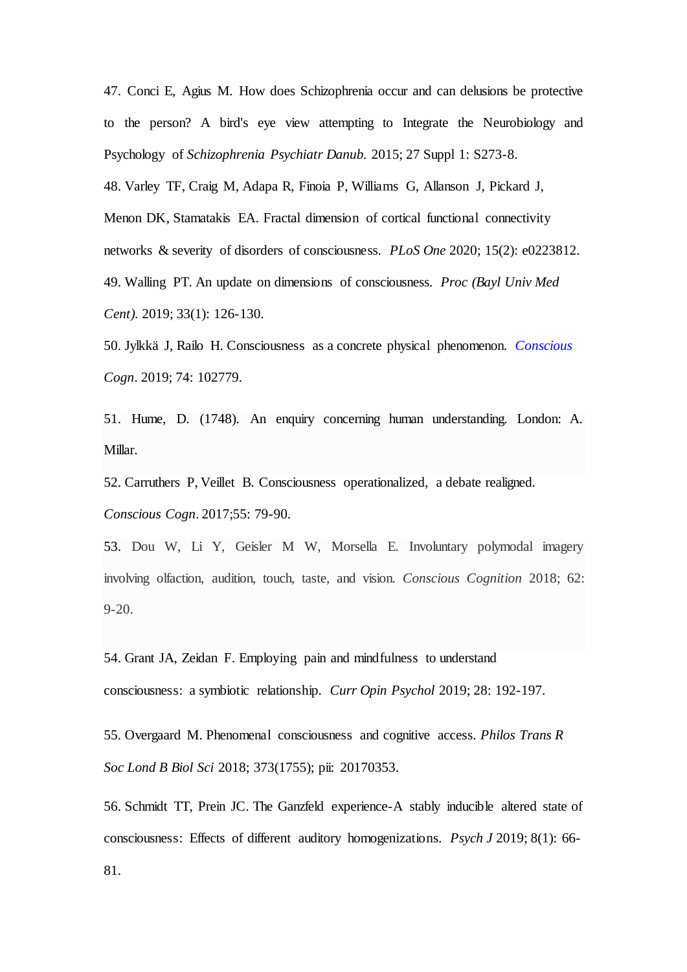47. [Conci E](https://www.ncbi.nlm.nih.gov/pubmed/?PARAMS=xik_3CcPm4gq1swZYmvj44PYkaJ6s1ewVBNYb8EX4hxyjmC6TrjFtay8VKnZhBv4rsENJjr4VSNSqMW7LKeEKVKYiY98W7AmjQor7tfYMB56NTAjes)[, Agius M](https://www.ncbi.nlm.nih.gov/pubmed/?PARAMS=xik_fQyqcocEvSfxmpPQPRBikCaVNHdFJgcnkK5ePVMSHPMjSz5rphjPh6rwDmSDR44iUCYDypuE7LosFFtgR512VoUqq3bBbfasFhdti9iKUEEDN). How does Schizophrenia occur and can delusions be protective to the person? A bird's eye view attempting to Integrate the Neurobiology and Psychology of *Schizophrenia [Psychiatr Danub.](https://www.ncbi.nlm.nih.gov/pubmed/26417779)* 2015; 27 Suppl 1: S273-8.

48. [Varley TF,](https://www.ncbi.nlm.nih.gov/pubmed/?PARAMS=xik_pZKCcCQMkoPEfNd7vYHyvZHTekauqvBsMmo9RqSatjAryhqA82NA2x4vNBguh2qEM5R5NRNXqMfpAJDn8KUZ1hBaNbEHuGVaV9k2ytG3SSdN7) [Craig M,](https://www.ncbi.nlm.nih.gov/pubmed/?PARAMS=xik_rypcfUCMp4aUAFhXczBj8FkoZxNJRdH1fzDkfn1DAR3qxJgHk5oMhxkz6epyFhfk2rGgZVvk32j4QwPTyzJ62vLx9bezbkrSKdwDoHNZwTaKC) [Adapa R,](https://www.ncbi.nlm.nih.gov/pubmed/?PARAMS=xik_Hf9vP2pTxEprmu1jviGBujAc76b5uEioPSaAcC1ofEV27jPEz8goGMqFRcGko53y5woBw7ed8vdZC23Z9mKsSJ58yvSZQPopTt2GLd1e58VRU) [Finoia P,](https://www.ncbi.nlm.nih.gov/pubmed/?PARAMS=xik_pi3w1RskVEbytScuvMa3VLaNS1Qcrk5eyPUJgvuzC5Wz1Xd3tsvYUh5rVXQnonu8ioU7z8V8GzBByDuyxrVFoHJeg9CmR8HSUeShBgjhPx2Hh) [Williams G,](https://www.ncbi.nlm.nih.gov/pubmed/?PARAMS=xik_2i9HJddZwUyyE6pTSKR9zaFyQqUhXs6JBL74wHC5VbEFezM3kieUad8Hr5V53P2NvThumE1MX89hMC8xdGT9wW6Wg1K2zLfENp2rDEaauL4hHS) [Allanson J,](https://www.ncbi.nlm.nih.gov/pubmed/?PARAMS=xik_25U9daB6K85y6bSSbPxu8hYCx6tuPLXbvZdfX3F25Thc1eU414qps5MBoQ4MVFNqUy5jmoptbo5WFZfBop6Zftkw9YUQFEtoNBzWomWSgE82ek) [Pickard J,](https://www.ncbi.nlm.nih.gov/pubmed/?PARAMS=xik_3TEwFs3NDAGUSz4PJ3QzTzD6rZYcx9zi5xVNzYFtmK2pPfHHxYtE8T4uk7aPHwehSq6atcUByps16xfcHBmNbiTYZnsu82RjiauGB6iwdhABSz) [Menon DK,](https://www.ncbi.nlm.nih.gov/pubmed/?PARAMS=xik_2HN5hFtEk8ys4Cu9iqpypfzMgXwsCZrgVBQC7k19UsKADfG9hEq3tMwsZHjtNcxirqMAfucvjvXFvAYGAjGRi43wyFrxQSwwX2TrpgyyESk11n) [Stamatakis EA.](https://www.ncbi.nlm.nih.gov/pubmed/?PARAMS=xik_2gNaaharh6Uu6CtQjNjFk8GrTAcRpGPMcUhZ2RZd6mPYWg1jeHHC618Tcp443zBuev548c1FUmRGwaF5tcb7VSn4FiasSr18NgyeVRAsAJnJTy) Fractal dimension of cortical functional connectivity networks & severity of disorders of consciousness. *[PLoS One](https://www.ncbi.nlm.nih.gov/pubmed/32053587)* 2020; 15(2): e0223812. 49. [Walling PT.](https://www.ncbi.nlm.nih.gov/pubmed/?PARAMS=xik_1TwUxpJWvNew1qvBhZrk45buVhNL4uhS9KLSkMWgBUBjGoaUrymhLCpAZ92poYeguVoF4B6ouJ4z2c3jzThyRfQ5Y7iU5wEeb9x8X9Eg77L3M) An update on dimensions of consciousness. *[Proc \(Bayl Univ Med](https://www.ncbi.nlm.nih.gov/pubmed/32063798)  [Cent\).](https://www.ncbi.nlm.nih.gov/pubmed/32063798)* 2019; 33(1): 126-130.

50. [Jylkkä J,](https://www.ncbi.nlm.nih.gov/pubmed/?PARAMS=xik_32YvbZynQvjELHibzg8x9WRH5oRZNwQhUpTrn3yBTTZ7dgRJrTdQBTv8yZJLAWLRB11voe2Vb3kHuvn7jqdSbAowekNwfmH1fp3bmdLg6LYeni) [Railo H.](https://www.ncbi.nlm.nih.gov/pubmed/?PARAMS=xik_2g87Zv7JdRMQwL3duprjUJR1Mwgmrz961feaNZfCyMdXFch67MRCcoKFU9SXbaiUGxJdeovxigxKnWXHFc6Kxoe9an2Bqckp6cwWvV3oG2xd2x) Consciousness as a concrete physical phenomenon. *[Conscious](https://www.ncbi.nlm.nih.gov/pubmed/31295656)  [Cogn](https://www.ncbi.nlm.nih.gov/pubmed/31295656)*. 2019; 74: 102779.

51. Hume, D. (1748). An enquiry concerning human understanding. London: A. Millar.

52. Carruthers P, Veillet B. [Consciousness operationalized, a debate realigned.](https://www.ncbi.nlm.nih.gov/pubmed/28803059) *Conscious Cogn*. 2017;55: 79-90.

53. Dou W, Li Y, Geisler M W, Morsella E. Involuntary polymodal imagery involving olfaction, audition, touch, taste, and vision. *Conscious Cognition* 2018; 62: 9-20.

54. Grant JA, Zeidan F[. Employing pain and mindfulness to understand](https://www.ncbi.nlm.nih.gov/pubmed/30776682)  [consciousness: a symbiotic relationship.](https://www.ncbi.nlm.nih.gov/pubmed/30776682) *Curr Opin Psychol* 2019; 28: 192-197.

55. [Overgaard M.](https://www.ncbi.nlm.nih.gov/pubmed/?PARAMS=xik_FZtJXbHLxqAiiQhFSqHYBhY4NNhtSQ4bVxeD3KoHFv1gzbDFiy6Av7NEnXmEHSLWcKqqWoWRDP3rDbsN3pcqvu3E1xKKm5brKXkan1S8Rks8m) Phenomenal consciousness and cognitive access. *[Philos Trans R](https://www.ncbi.nlm.nih.gov/pubmed/30061466)  [Soc Lond B Biol Sci](https://www.ncbi.nlm.nih.gov/pubmed/30061466)* 2018; 373(1755); pii: 20170353.

56. Schmidt TT, Prein JC[. The Ganzfeld experience-A stably inducible altered state of](https://www.ncbi.nlm.nih.gov/pubmed/30609322)  [consciousness: Effects of different auditory homogenizations.](https://www.ncbi.nlm.nih.gov/pubmed/30609322) *Psych J* 2019; 8(1): 66-

81.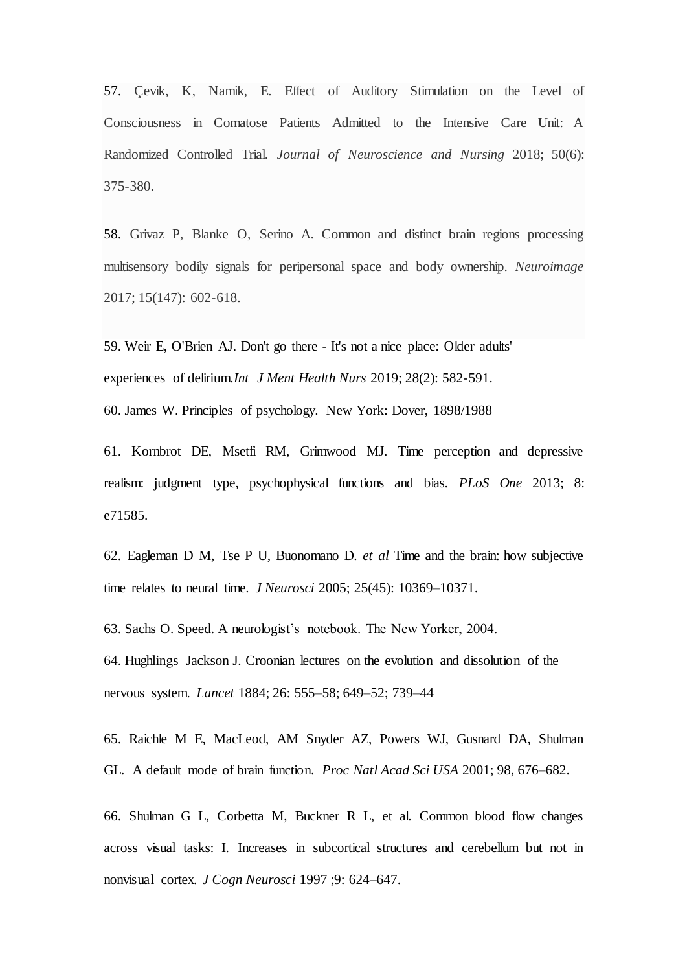57. Çevik, K, Namik, E. Effect of Auditory Stimulation on the Level of Consciousness in Comatose Patients Admitted to the Intensive Care Unit: A Randomized Controlled Trial. *Journal of Neuroscience and Nursing* 2018; 50(6): 375-380.

58. Grivaz P, Blanke O, Serino A. Common and distinct brain regions processing multisensory bodily signals for peripersonal space and body ownership. *Neuroimage* 2017; 15(147): 602-618.

59. [Weir E,](https://www.ncbi.nlm.nih.gov/pubmed/?PARAMS=xik_JnwReyuTqcmbDjUW68n8NA2r96jMaRVFzpjNLoMPJ534KXTVQ82r7NjMnwRMJ3nnD9sKYkBCXh5kpssPgQ4Muh7zMxfQ1RZwhPRJUsXmgV7cp) [O'Brien AJ.](https://www.ncbi.nlm.nih.gov/pubmed/?PARAMS=xik_8L8XKviWynYPMWeLf1Srw4L4HQrBuQpqqSBQV7Dps8Fs) Don't go there - It's not a nice place: Older adults' experiences of delirium.*[Int J Ment Health Nurs](https://www.ncbi.nlm.nih.gov/pubmed/30549214)* 2019; 28(2): 582-591.

60. James W. Principles of psychology. New York: Dover, 1898/1988

61. Kornbrot DE, Msetfi RM, Grimwood MJ. Time perception and depressive realism: judgment type, psychophysical functions and bias. *PLoS One* 2013; 8: e71585.

62. Eagleman D M, Tse P U, Buonomano D. *et al* Time and the brain: how subjective time relates to neural time. *J Neurosci* 2005; 25(45): 10369–10371.

63. Sachs O. Speed. A neurologist's notebook. The New Yorker, 2004.

64. Hughlings Jackson J. Croonian lectures on the evolution and dissolution of the nervous system. *Lancet* 1884; 26: 555–58; 649–52; 739–44

65. Raichle M E, MacLeod, AM Snyder AZ, Powers WJ, Gusnard DA, Shulman GL. A default mode of brain function. *Proc Natl Acad Sci USA* 2001; 98, 676–682.

66. Shulman G L, Corbetta M, Buckner R L, et al. Common blood flow changes across visual tasks: I. Increases in subcortical structures and cerebellum but not in nonvisual cortex*. J Cogn Neurosci* 1997 ;9: 624–647.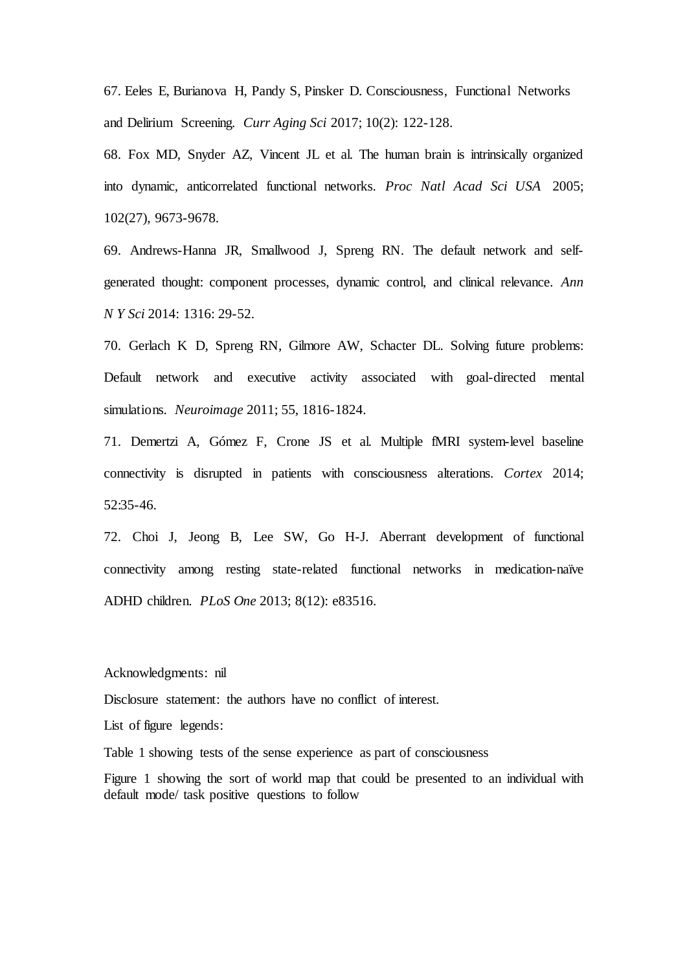67. Eeles E, Burianova H, Pandy S, Pinsker D. [Consciousness, Functional Networks](https://www.ncbi.nlm.nih.gov/pubmed/27719628)  [and Delirium Screening.](https://www.ncbi.nlm.nih.gov/pubmed/27719628) *Curr Aging Sci* 2017; 10(2): 122-128.

68. Fox MD, Snyder AZ, Vincent JL et al. The human brain is intrinsically organized into dynamic, anticorrelated functional networks. *Proc Natl Acad Sci USA* 2005; 102(27), 9673-9678.

69. [Andrews-Hanna JR, Smallwood J,](https://www.ncbi.nlm.nih.gov/pubmed/?PARAMS=xik_34ZisT98SysVmbfsWVGydQEowUVbk9DSQcFunviSqdd7DYPG4pmVBGcR3X97ogDyW8puWopTp5ZA4KcqP3HX5SK7nstgmobk24q2qZN6DHYxws) [Spreng RN.](https://www.ncbi.nlm.nih.gov/pubmed/?PARAMS=xik_3FrZRm6MJRYAegwVzTJDjtm4VCUf4qYCVBYaENSZUHS2TwDCB2SLz3dpX7DsEYRwmCJtoNF4B7iVBp8bssY8pLDv6A79Cg9NRFTVSQFQN3JVVD) The default network and selfgenerated thought: component processes, dynamic control, and clinical relevance. *Ann [N Y Sci](https://www.ncbi.nlm.nih.gov/pubmed/24502540)* 2014: 1316: 29-52.

70. Gerlach K D, Spreng RN, Gilmore AW, Schacter DL. Solving future problems: Default network and executive activity associated with goal-directed mental simulations. *Neuroimage* 2011; 55, 1816-1824.

71. Demertzi A, Gómez F, Crone JS et al. Multiple fMRI system-level baseline connectivity is disrupted in patients with consciousness alterations. *Cortex* 2014; 52:35-46.

72. Choi J, Jeong B, Lee SW, Go H-J. Aberrant development of functional connectivity among resting state-related functional networks in medication-naïve ADHD children. *PLoS One* 2013; 8(12): e83516.

Acknowledgments: nil

Disclosure statement: the authors have no conflict of interest.

List of figure legends:

Table 1 showing tests of the sense experience as part of consciousness

Figure 1 showing the sort of world map that could be presented to an individual with default mode/ task positive questions to follow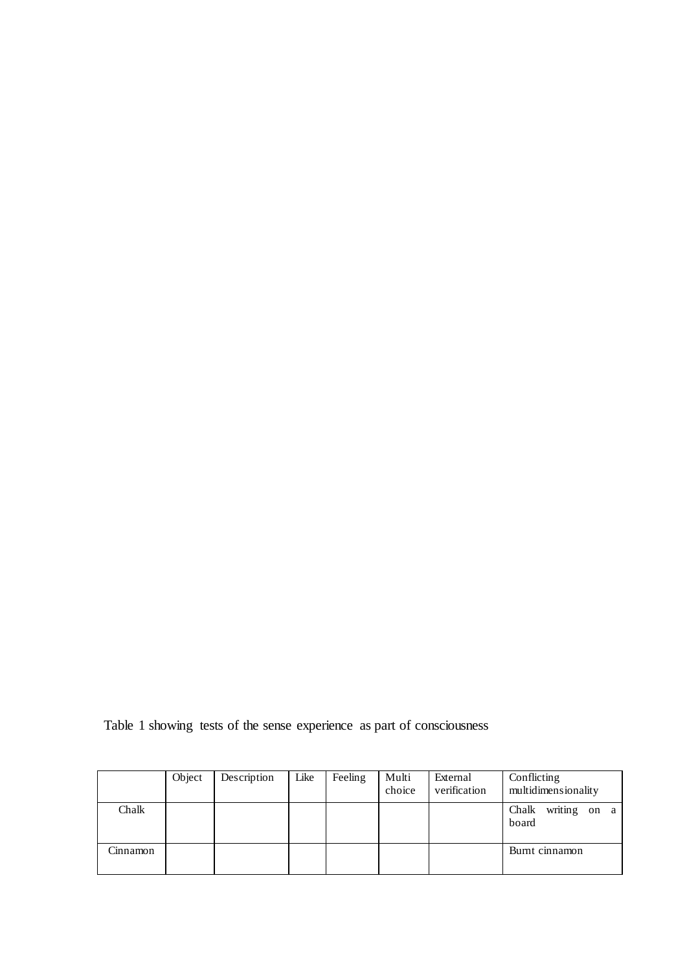Table 1 showing tests of the sense experience as part of consciousness

|          | Object | Description | Like | Feeling | Multi<br>choice | External<br>verification | Conflicting<br>multidimensionality |
|----------|--------|-------------|------|---------|-----------------|--------------------------|------------------------------------|
| Chalk    |        |             |      |         |                 |                          | Chalk<br>writing on a<br>board     |
| Cinnamon |        |             |      |         |                 |                          | Burnt cinnamon                     |